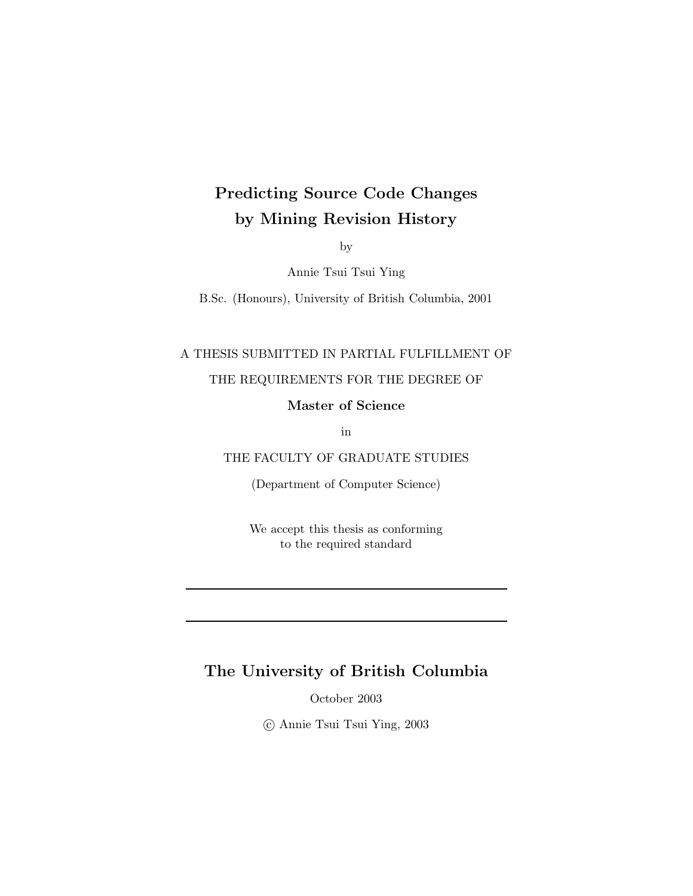### Predicting Source Code Changes by Mining Revision History

by

Annie Tsui Tsui Ying

B.Sc. (Honours), University of British Columbia, 2001

#### A THESIS SUBMITTED IN PARTIAL FULFILLMENT OF

#### THE REQUIREMENTS FOR THE DEGREE OF

Master of Science

in

THE FACULTY OF GRADUATE STUDIES

(Department of Computer Science)

We accept this thesis as conforming to the required standard

#### The University of British Columbia

October 2003

c Annie Tsui Tsui Ying, 2003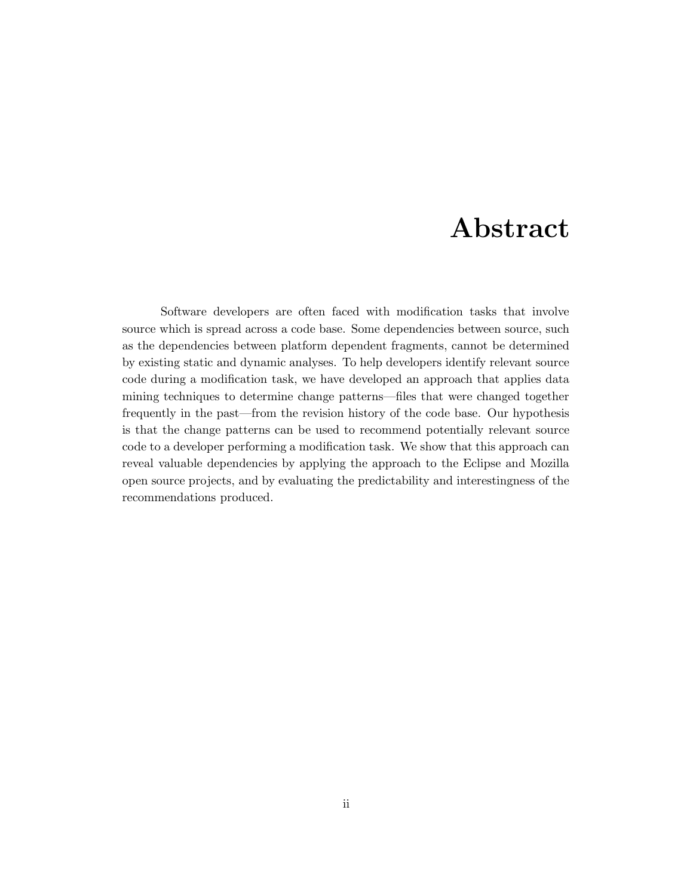### Abstract

Software developers are often faced with modification tasks that involve source which is spread across a code base. Some dependencies between source, such as the dependencies between platform dependent fragments, cannot be determined by existing static and dynamic analyses. To help developers identify relevant source code during a modification task, we have developed an approach that applies data mining techniques to determine change patterns—files that were changed together frequently in the past—from the revision history of the code base. Our hypothesis is that the change patterns can be used to recommend potentially relevant source code to a developer performing a modification task. We show that this approach can reveal valuable dependencies by applying the approach to the Eclipse and Mozilla open source projects, and by evaluating the predictability and interestingness of the recommendations produced.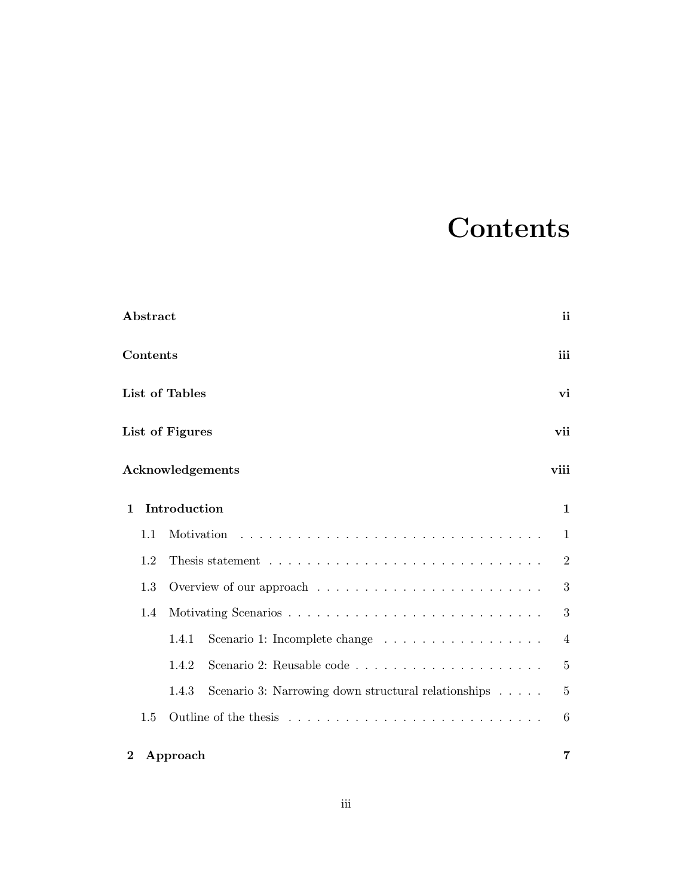# **Contents**

|              | Abstract        |                                                                              | ii             |
|--------------|-----------------|------------------------------------------------------------------------------|----------------|
|              | <b>Contents</b> |                                                                              | iii            |
|              |                 | List of Tables                                                               | vi             |
|              |                 | List of Figures                                                              | vii            |
|              |                 | Acknowledgements                                                             | viii           |
| $\mathbf{1}$ |                 | Introduction                                                                 | $\mathbf 1$    |
|              | 1.1             | Motivation                                                                   | 1              |
|              | 1.2             |                                                                              | $\overline{2}$ |
|              | 1.3             |                                                                              | 3              |
|              | 1.4             |                                                                              | 3              |
|              |                 | 1.4.1<br>Scenario 1: Incomplete change                                       | $\overline{4}$ |
|              |                 | 1.4.2                                                                        | 5              |
|              |                 | Scenario 3: Narrowing down structural relationships $\ldots \ldots$<br>1.4.3 | $\overline{5}$ |
|              | 1.5             |                                                                              | 6              |
| $\bf{2}$     |                 | Approach                                                                     | 7              |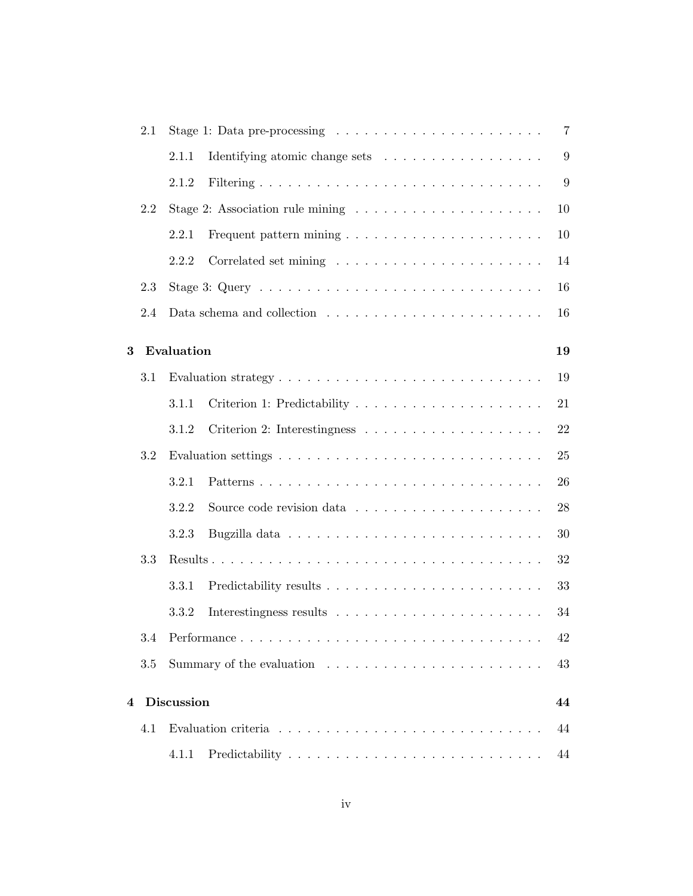|   | 2.1 |                   | Stage 1: Data pre-processing $\ldots \ldots \ldots \ldots \ldots \ldots \ldots$         | $\overline{7}$ |
|---|-----|-------------------|-----------------------------------------------------------------------------------------|----------------|
|   |     | 2.1.1             | Identifying atomic change sets                                                          | 9              |
|   |     | 2.1.2             |                                                                                         | 9              |
|   | 2.2 |                   |                                                                                         | 10             |
|   |     | 2.2.1             |                                                                                         | 10             |
|   |     | 2.2.2             |                                                                                         | 14             |
|   | 2.3 |                   |                                                                                         | 16             |
|   | 2.4 |                   |                                                                                         | 16             |
| 3 |     | Evaluation        |                                                                                         | 19             |
|   | 3.1 |                   | Evaluation strategy $\dots \dots \dots \dots \dots \dots \dots \dots \dots \dots \dots$ | 19             |
|   |     | 3.1.1             |                                                                                         | 21             |
|   |     | 3.1.2             |                                                                                         | 22             |
|   | 3.2 |                   |                                                                                         | 25             |
|   |     | 3.2.1             | Patterns                                                                                | 26             |
|   |     | 3.2.2             |                                                                                         | 28             |
|   |     | 3.2.3             |                                                                                         | 30             |
|   | 3.3 |                   |                                                                                         | 32             |
|   |     | 3.3.1             |                                                                                         | 33             |
|   |     | 3.3.2             |                                                                                         | 34             |
|   | 3.4 |                   | Performance                                                                             | 42             |
|   | 3.5 |                   |                                                                                         | 43             |
| 4 |     | <b>Discussion</b> |                                                                                         | 44             |
|   | 4.1 |                   |                                                                                         | 44             |
|   |     | 4.1.1             |                                                                                         | 44             |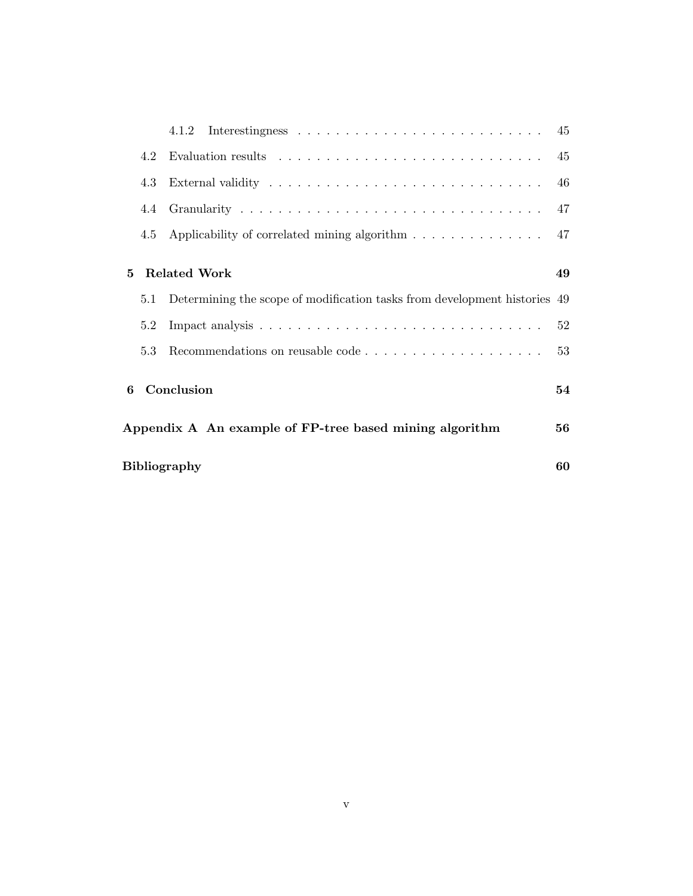|   | 4.2 | Evaluation results $\dots \dots \dots \dots \dots \dots \dots \dots \dots \dots$ | 45 |
|---|-----|----------------------------------------------------------------------------------|----|
|   | 4.3 |                                                                                  | 46 |
|   | 4.4 |                                                                                  | 47 |
|   | 4.5 | Applicability of correlated mining algorithm                                     | 47 |
| 5 |     | <b>Related Work</b>                                                              | 49 |
|   | 5.1 | Determining the scope of modification tasks from development histories 49        |    |
|   | 5.2 |                                                                                  | 52 |
|   | 5.3 |                                                                                  | 53 |
| 6 |     | Conclusion                                                                       | 54 |
|   |     | Appendix A An example of FP-tree based mining algorithm                          | 56 |
|   |     | Bibliography                                                                     | 60 |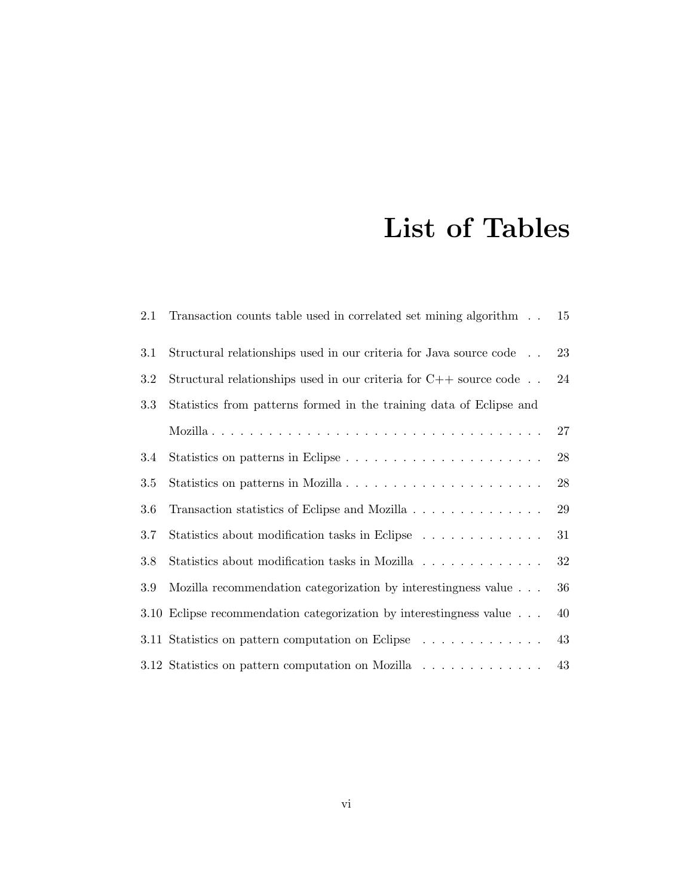# List of Tables

| 2.1 | Transaction counts table used in correlated set mining algorithm                | 15     |
|-----|---------------------------------------------------------------------------------|--------|
| 3.1 | Structural relationships used in our criteria for Java source code              | 23     |
| 3.2 | Structural relationships used in our criteria for $C++$ source code             | 24     |
| 3.3 | Statistics from patterns formed in the training data of Eclipse and             |        |
|     |                                                                                 | 27     |
| 3.4 |                                                                                 | 28     |
| 3.5 | Statistics on patterns in Mozilla                                               | $28\,$ |
| 3.6 | Transaction statistics of Eclipse and Mozilla                                   | 29     |
| 3.7 | Statistics about modification tasks in Eclipse                                  | 31     |
| 3.8 | Statistics about modification tasks in Mozilla                                  | 32     |
| 3.9 | Mozilla recommendation categorization by interestingness value                  | 36     |
|     | 3.10 Eclipse recommendation categorization by interestingness value             | 40     |
|     | 3.11 Statistics on pattern computation on Eclipse                               | 43     |
|     | 3.12 Statistics on pattern computation on Mozilla $\ldots \ldots \ldots \ldots$ | 43     |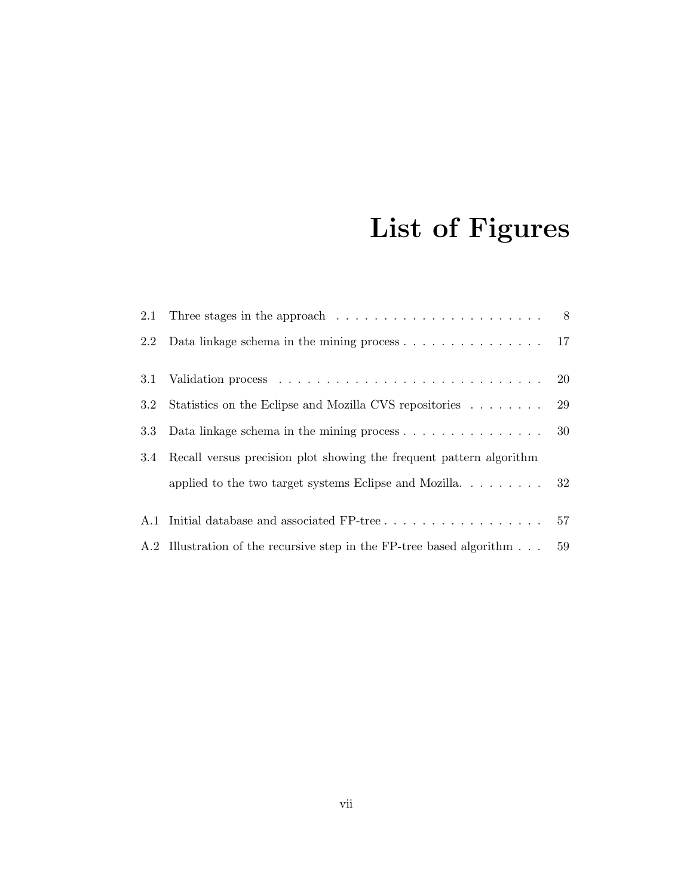# List of Figures

|                  | 2.1 Three stages in the approach $\ldots \ldots \ldots \ldots \ldots \ldots \ldots$ 8 |    |
|------------------|---------------------------------------------------------------------------------------|----|
|                  | 2.2 Data linkage schema in the mining process 17                                      |    |
| 3.1              |                                                                                       |    |
| $3.2\phantom{0}$ | Statistics on the Eclipse and Mozilla CVS repositories  29                            |    |
| 3.3              | Data linkage schema in the mining process $\dots \dots \dots \dots \dots \dots$       |    |
| 3.4              | Recall versus precision plot showing the frequent pattern algorithm                   |    |
|                  |                                                                                       |    |
|                  |                                                                                       | 57 |
|                  | A.2 Illustration of the recursive step in the FP-tree based algorithm                 | 59 |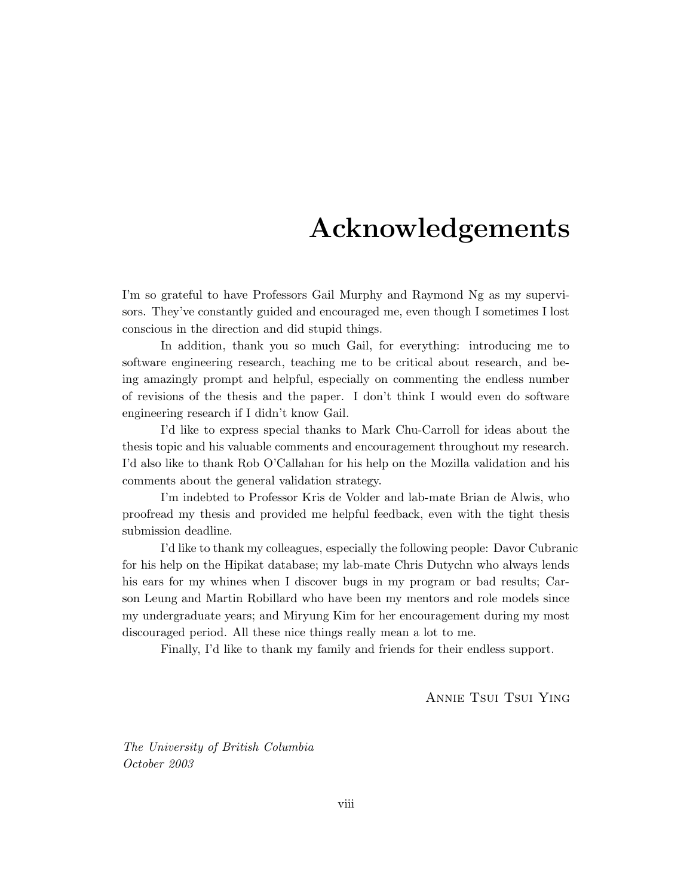# Acknowledgements

I'm so grateful to have Professors Gail Murphy and Raymond Ng as my supervisors. They've constantly guided and encouraged me, even though I sometimes I lost conscious in the direction and did stupid things.

In addition, thank you so much Gail, for everything: introducing me to software engineering research, teaching me to be critical about research, and being amazingly prompt and helpful, especially on commenting the endless number of revisions of the thesis and the paper. I don't think I would even do software engineering research if I didn't know Gail.

I'd like to express special thanks to Mark Chu-Carroll for ideas about the thesis topic and his valuable comments and encouragement throughout my research. I'd also like to thank Rob O'Callahan for his help on the Mozilla validation and his comments about the general validation strategy.

I'm indebted to Professor Kris de Volder and lab-mate Brian de Alwis, who proofread my thesis and provided me helpful feedback, even with the tight thesis submission deadline.

I'd like to thank my colleagues, especially the following people: Davor Cubranic for his help on the Hipikat database; my lab-mate Chris Dutychn who always lends his ears for my whines when I discover bugs in my program or bad results; Carson Leung and Martin Robillard who have been my mentors and role models since my undergraduate years; and Miryung Kim for her encouragement during my most discouraged period. All these nice things really mean a lot to me.

Finally, I'd like to thank my family and friends for their endless support.

Annie Tsui Tsui Ying

The University of British Columbia October 2003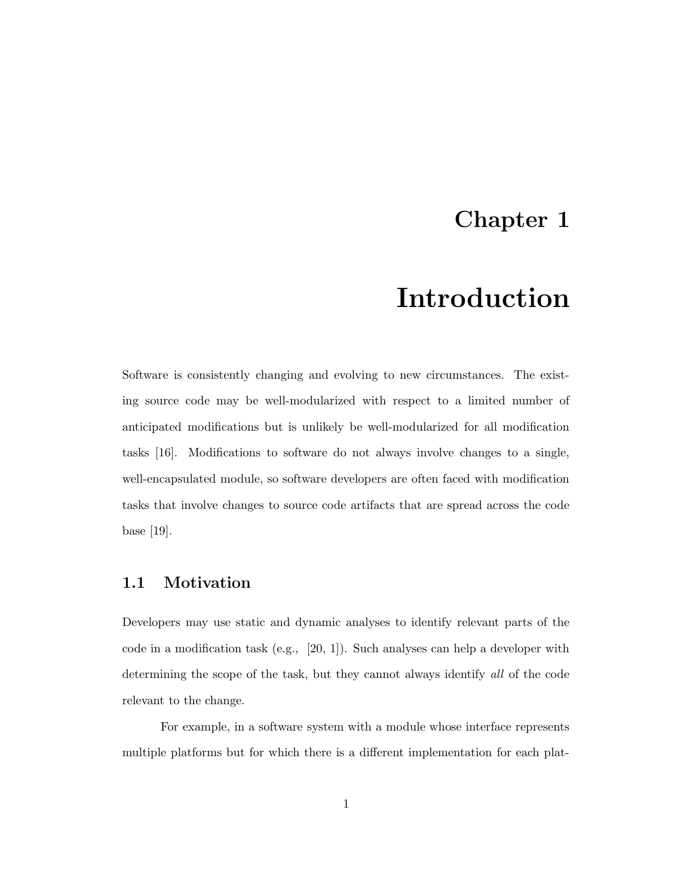### Chapter 1

## Introduction

Software is consistently changing and evolving to new circumstances. The existing source code may be well-modularized with respect to a limited number of anticipated modifications but is unlikely be well-modularized for all modification tasks [16]. Modifications to software do not always involve changes to a single, well-encapsulated module, so software developers are often faced with modification tasks that involve changes to source code artifacts that are spread across the code base [19].

#### 1.1 Motivation

Developers may use static and dynamic analyses to identify relevant parts of the code in a modification task (e.g.,  $[20, 1]$ ). Such analyses can help a developer with determining the scope of the task, but they cannot always identify all of the code relevant to the change.

For example, in a software system with a module whose interface represents multiple platforms but for which there is a different implementation for each plat-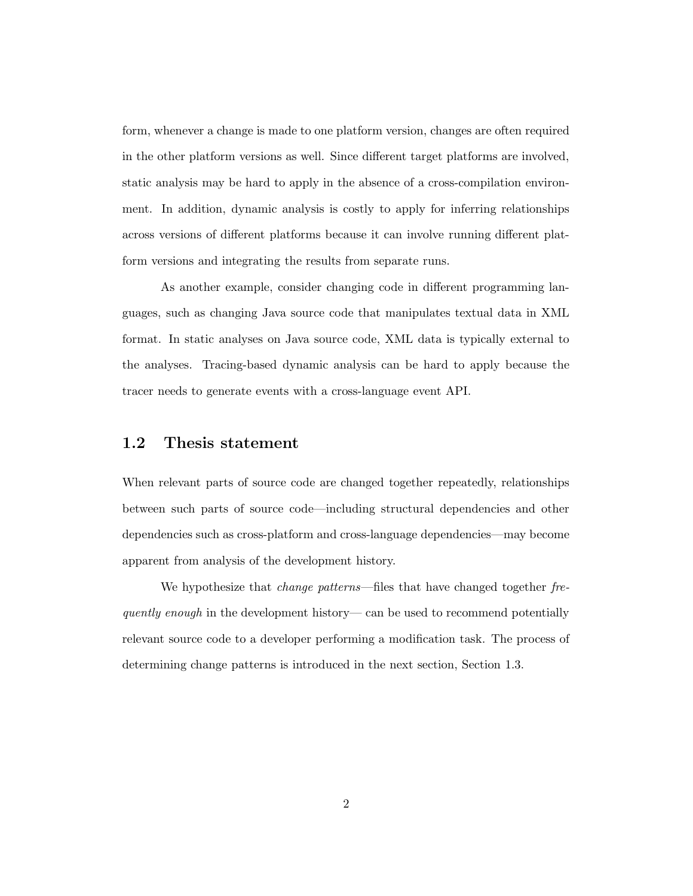form, whenever a change is made to one platform version, changes are often required in the other platform versions as well. Since different target platforms are involved, static analysis may be hard to apply in the absence of a cross-compilation environment. In addition, dynamic analysis is costly to apply for inferring relationships across versions of different platforms because it can involve running different platform versions and integrating the results from separate runs.

As another example, consider changing code in different programming languages, such as changing Java source code that manipulates textual data in XML format. In static analyses on Java source code, XML data is typically external to the analyses. Tracing-based dynamic analysis can be hard to apply because the tracer needs to generate events with a cross-language event API.

#### 1.2 Thesis statement

When relevant parts of source code are changed together repeatedly, relationships between such parts of source code—including structural dependencies and other dependencies such as cross-platform and cross-language dependencies—may become apparent from analysis of the development history.

We hypothesize that *change patterns*—files that have changed together frequently enough in the development history— can be used to recommend potentially relevant source code to a developer performing a modification task. The process of determining change patterns is introduced in the next section, Section 1.3.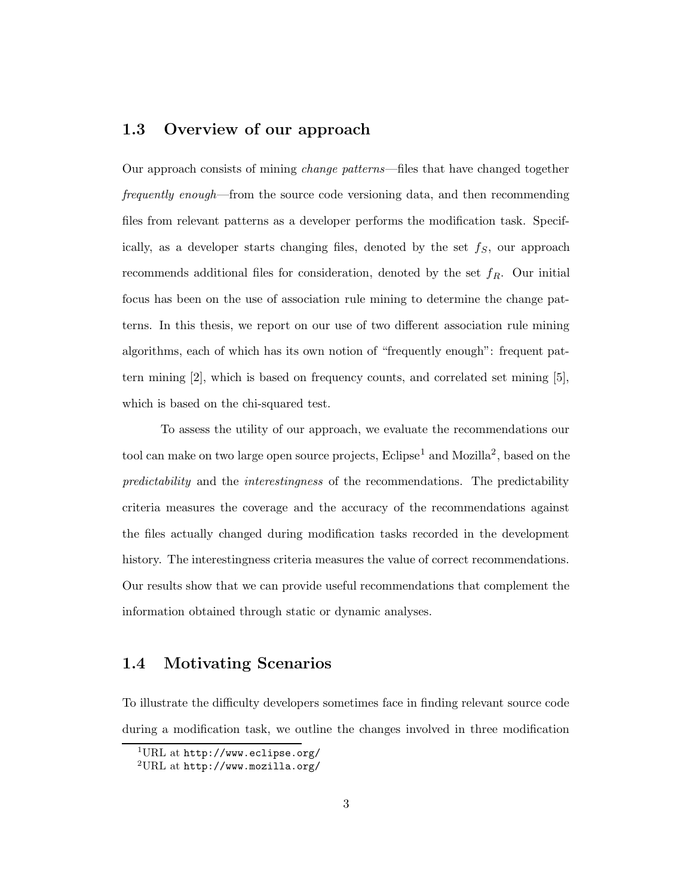#### 1.3 Overview of our approach

Our approach consists of mining change patterns—files that have changed together frequently enough—from the source code versioning data, and then recommending files from relevant patterns as a developer performs the modification task. Specifically, as a developer starts changing files, denoted by the set  $f<sub>S</sub>$ , our approach recommends additional files for consideration, denoted by the set  $f_R$ . Our initial focus has been on the use of association rule mining to determine the change patterns. In this thesis, we report on our use of two different association rule mining algorithms, each of which has its own notion of "frequently enough": frequent pattern mining [2], which is based on frequency counts, and correlated set mining [5], which is based on the chi-squared test.

To assess the utility of our approach, we evaluate the recommendations our tool can make on two large open source projects,  $Eclipse<sup>1</sup>$  and Mozilla<sup>2</sup>, based on the predictability and the interestingness of the recommendations. The predictability criteria measures the coverage and the accuracy of the recommendations against the files actually changed during modification tasks recorded in the development history. The interestingness criteria measures the value of correct recommendations. Our results show that we can provide useful recommendations that complement the information obtained through static or dynamic analyses.

#### 1.4 Motivating Scenarios

To illustrate the difficulty developers sometimes face in finding relevant source code during a modification task, we outline the changes involved in three modification

 $1$ URL at http://www.eclipse.org/

<sup>2</sup>URL at http://www.mozilla.org/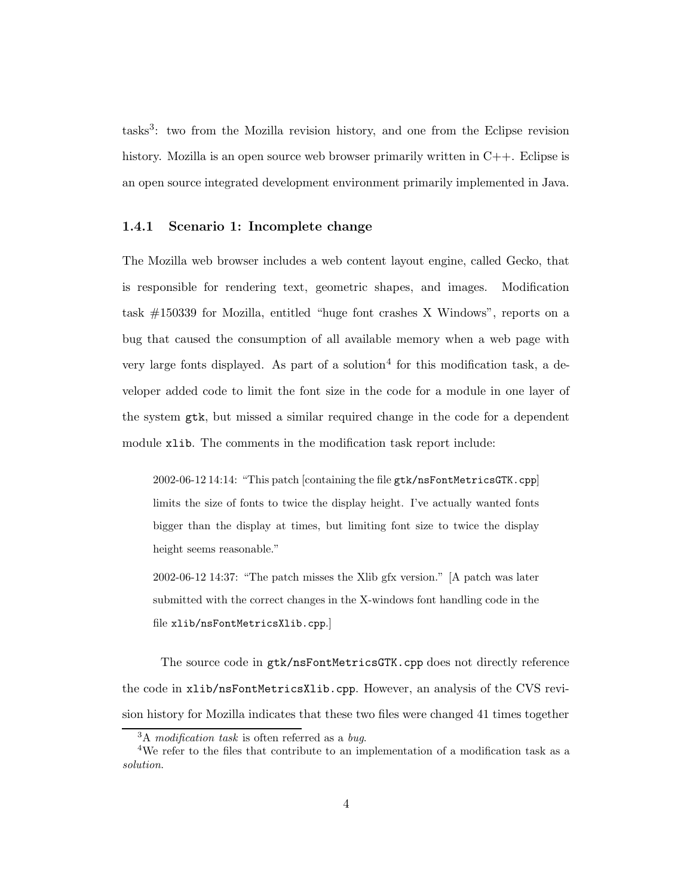tasks<sup>3</sup>: two from the Mozilla revision history, and one from the Eclipse revision history. Mozilla is an open source web browser primarily written in  $C_{++}$ . Eclipse is an open source integrated development environment primarily implemented in Java.

#### 1.4.1 Scenario 1: Incomplete change

The Mozilla web browser includes a web content layout engine, called Gecko, that is responsible for rendering text, geometric shapes, and images. Modification task #150339 for Mozilla, entitled "huge font crashes X Windows", reports on a bug that caused the consumption of all available memory when a web page with very large fonts displayed. As part of a solution<sup>4</sup> for this modification task, a developer added code to limit the font size in the code for a module in one layer of the system gtk, but missed a similar required change in the code for a dependent module xlib. The comments in the modification task report include:

2002-06-12 14:14: "This patch [containing the file gtk/nsFontMetricsGTK.cpp] limits the size of fonts to twice the display height. I've actually wanted fonts bigger than the display at times, but limiting font size to twice the display height seems reasonable."

2002-06-12 14:37: "The patch misses the Xlib gfx version." [A patch was later submitted with the correct changes in the X-windows font handling code in the file xlib/nsFontMetricsXlib.cpp.]

The source code in  $gtk/nsFontMetrices$  cpp does not directly reference the code in xlib/nsFontMetricsXlib.cpp. However, an analysis of the CVS revision history for Mozilla indicates that these two files were changed 41 times together

 $3A$  modification task is often referred as a bug.

<sup>4</sup>We refer to the files that contribute to an implementation of a modification task as a solution.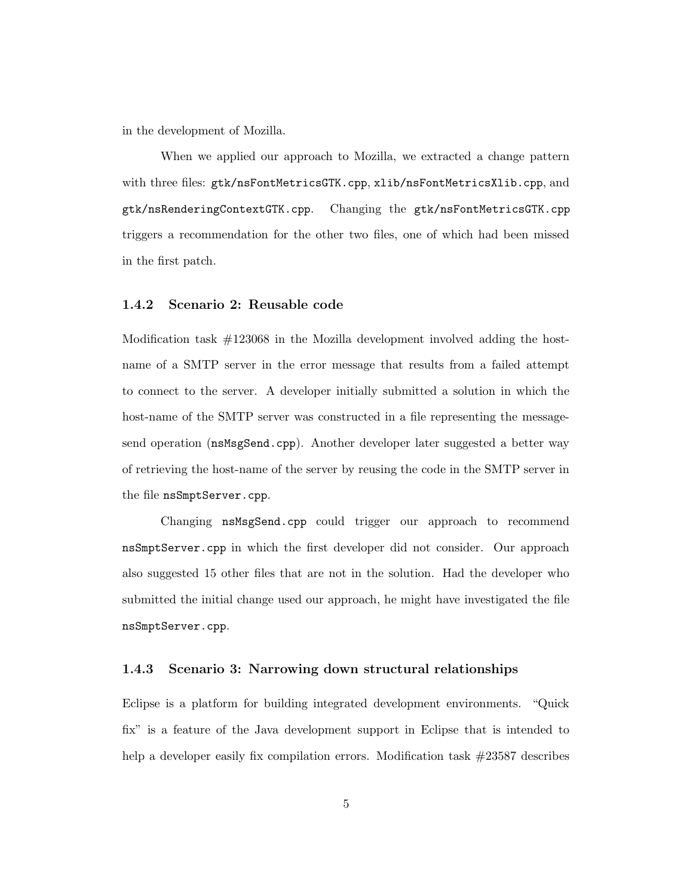in the development of Mozilla.

When we applied our approach to Mozilla, we extracted a change pattern with three files: gtk/nsFontMetricsGTK.cpp, xlib/nsFontMetricsXlib.cpp, and gtk/nsRenderingContextGTK.cpp. Changing the gtk/nsFontMetricsGTK.cpp triggers a recommendation for the other two files, one of which had been missed in the first patch.

#### 1.4.2 Scenario 2: Reusable code

Modification task #123068 in the Mozilla development involved adding the hostname of a SMTP server in the error message that results from a failed attempt to connect to the server. A developer initially submitted a solution in which the host-name of the SMTP server was constructed in a file representing the messagesend operation (nsMsgSend.cpp). Another developer later suggested a better way of retrieving the host-name of the server by reusing the code in the SMTP server in the file nsSmptServer.cpp.

Changing nsMsgSend.cpp could trigger our approach to recommend nsSmptServer.cpp in which the first developer did not consider. Our approach also suggested 15 other files that are not in the solution. Had the developer who submitted the initial change used our approach, he might have investigated the file nsSmptServer.cpp.

#### 1.4.3 Scenario 3: Narrowing down structural relationships

Eclipse is a platform for building integrated development environments. "Quick fix" is a feature of the Java development support in Eclipse that is intended to help a developer easily fix compilation errors. Modification task  $\#23587$  describes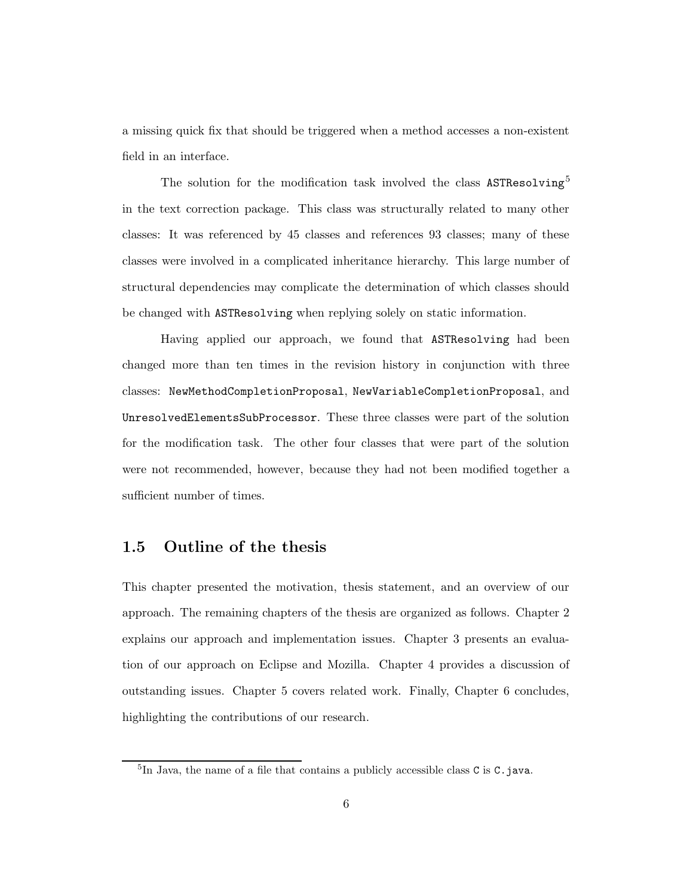a missing quick fix that should be triggered when a method accesses a non-existent field in an interface.

The solution for the modification task involved the class ASTResolving<sup>5</sup> in the text correction package. This class was structurally related to many other classes: It was referenced by 45 classes and references 93 classes; many of these classes were involved in a complicated inheritance hierarchy. This large number of structural dependencies may complicate the determination of which classes should be changed with ASTResolving when replying solely on static information.

Having applied our approach, we found that ASTResolving had been changed more than ten times in the revision history in conjunction with three classes: NewMethodCompletionProposal, NewVariableCompletionProposal, and UnresolvedElementsSubProcessor. These three classes were part of the solution for the modification task. The other four classes that were part of the solution were not recommended, however, because they had not been modified together a sufficient number of times.

#### 1.5 Outline of the thesis

This chapter presented the motivation, thesis statement, and an overview of our approach. The remaining chapters of the thesis are organized as follows. Chapter 2 explains our approach and implementation issues. Chapter 3 presents an evaluation of our approach on Eclipse and Mozilla. Chapter 4 provides a discussion of outstanding issues. Chapter 5 covers related work. Finally, Chapter 6 concludes, highlighting the contributions of our research.

<sup>&</sup>lt;sup>5</sup>In Java, the name of a file that contains a publicly accessible class C is C.java.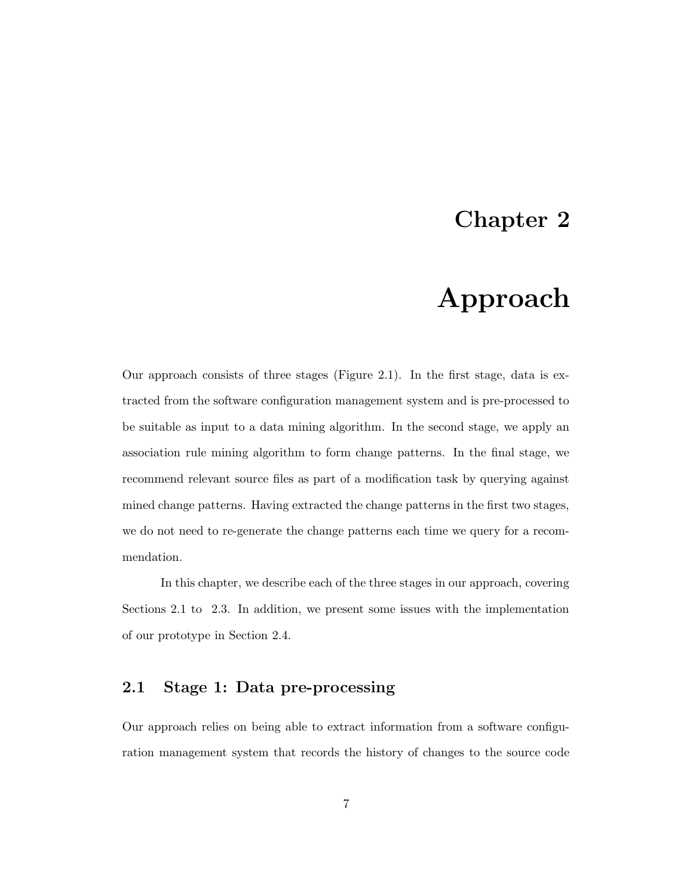### Chapter 2

# Approach

Our approach consists of three stages (Figure 2.1). In the first stage, data is extracted from the software configuration management system and is pre-processed to be suitable as input to a data mining algorithm. In the second stage, we apply an association rule mining algorithm to form change patterns. In the final stage, we recommend relevant source files as part of a modification task by querying against mined change patterns. Having extracted the change patterns in the first two stages, we do not need to re-generate the change patterns each time we query for a recommendation.

In this chapter, we describe each of the three stages in our approach, covering Sections 2.1 to 2.3. In addition, we present some issues with the implementation of our prototype in Section 2.4.

#### 2.1 Stage 1: Data pre-processing

Our approach relies on being able to extract information from a software configuration management system that records the history of changes to the source code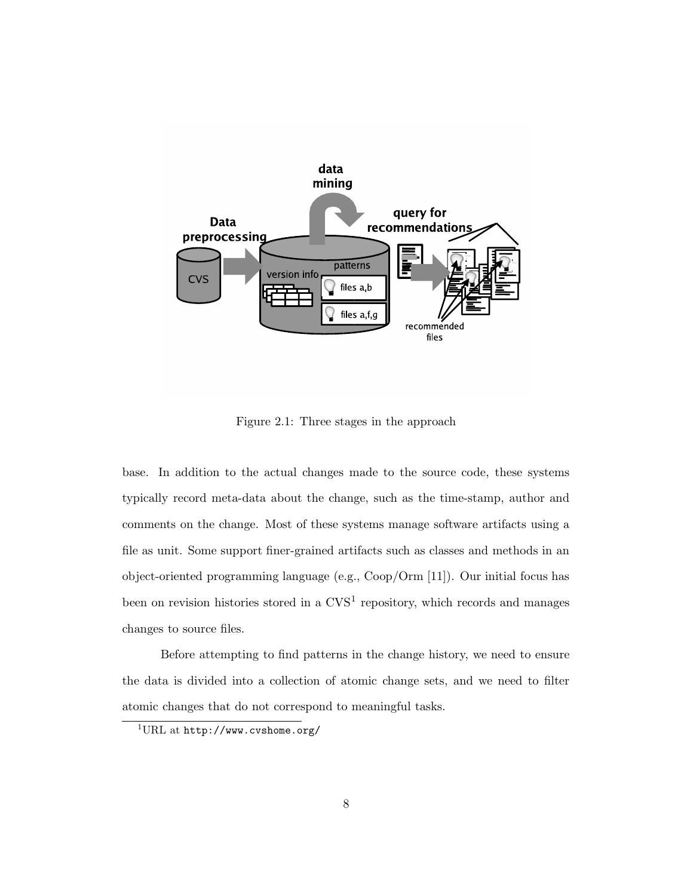

Figure 2.1: Three stages in the approach

base. In addition to the actual changes made to the source code, these systems typically record meta-data about the change, such as the time-stamp, author and comments on the change. Most of these systems manage software artifacts using a file as unit. Some support finer-grained artifacts such as classes and methods in an object-oriented programming language (e.g., Coop/Orm [11]). Our initial focus has been on revision histories stored in a  $CVS<sup>1</sup>$  repository, which records and manages changes to source files.

Before attempting to find patterns in the change history, we need to ensure the data is divided into a collection of atomic change sets, and we need to filter atomic changes that do not correspond to meaningful tasks.

 $1$ URL at http://www.cvshome.org/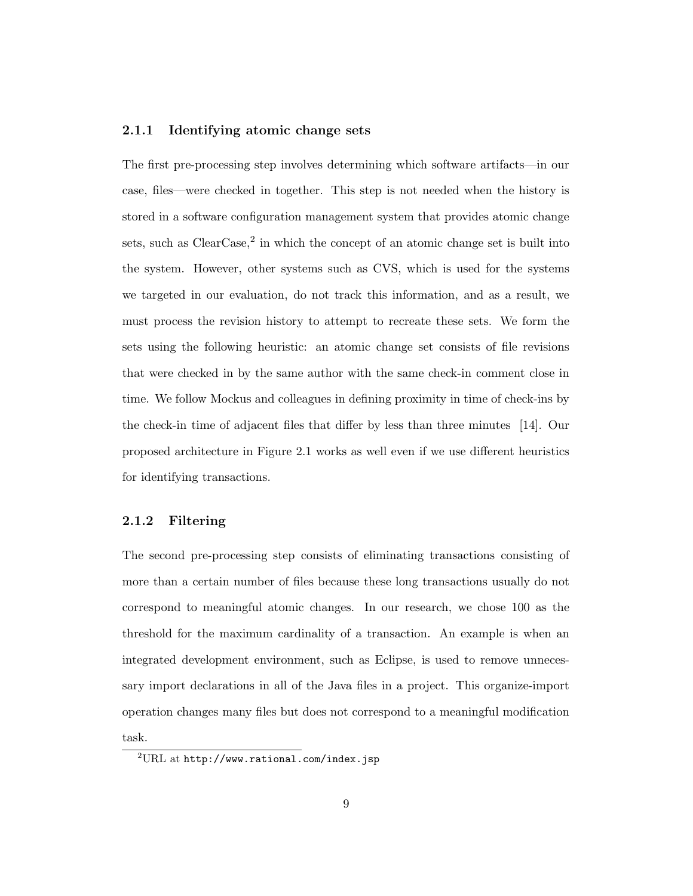#### 2.1.1 Identifying atomic change sets

The first pre-processing step involves determining which software artifacts—in our case, files—were checked in together. This step is not needed when the history is stored in a software configuration management system that provides atomic change sets, such as  $ClearCase$ ,  $^2$  in which the concept of an atomic change set is built into the system. However, other systems such as CVS, which is used for the systems we targeted in our evaluation, do not track this information, and as a result, we must process the revision history to attempt to recreate these sets. We form the sets using the following heuristic: an atomic change set consists of file revisions that were checked in by the same author with the same check-in comment close in time. We follow Mockus and colleagues in defining proximity in time of check-ins by the check-in time of adjacent files that differ by less than three minutes [14]. Our proposed architecture in Figure 2.1 works as well even if we use different heuristics for identifying transactions.

#### 2.1.2 Filtering

The second pre-processing step consists of eliminating transactions consisting of more than a certain number of files because these long transactions usually do not correspond to meaningful atomic changes. In our research, we chose 100 as the threshold for the maximum cardinality of a transaction. An example is when an integrated development environment, such as Eclipse, is used to remove unnecessary import declarations in all of the Java files in a project. This organize-import operation changes many files but does not correspond to a meaningful modification task.

<sup>2</sup>URL at http://www.rational.com/index.jsp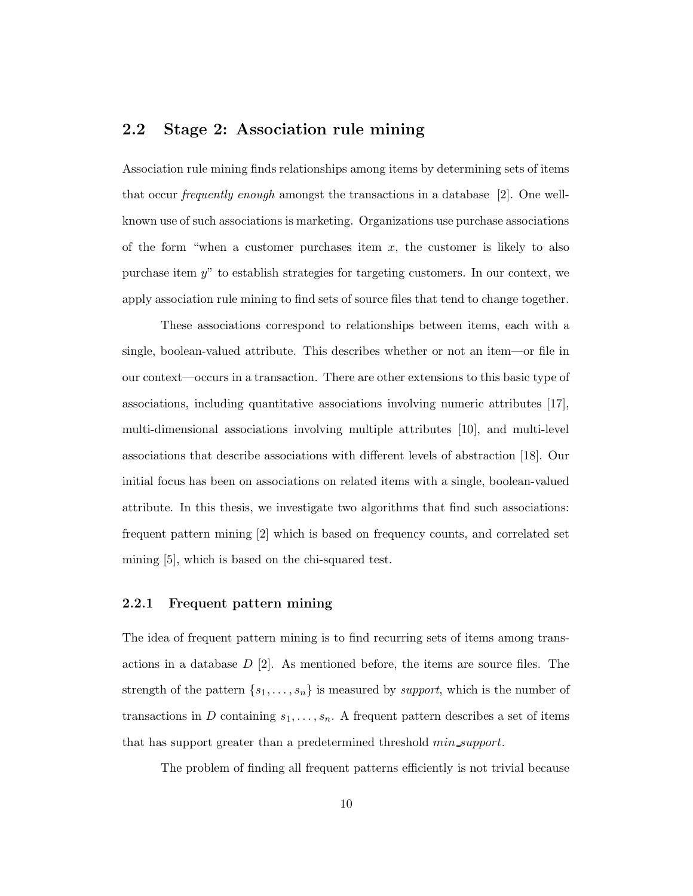#### 2.2 Stage 2: Association rule mining

Association rule mining finds relationships among items by determining sets of items that occur frequently enough amongst the transactions in a database [2]. One wellknown use of such associations is marketing. Organizations use purchase associations of the form "when a customer purchases item  $x$ , the customer is likely to also purchase item y" to establish strategies for targeting customers. In our context, we apply association rule mining to find sets of source files that tend to change together.

These associations correspond to relationships between items, each with a single, boolean-valued attribute. This describes whether or not an item—or file in our context—occurs in a transaction. There are other extensions to this basic type of associations, including quantitative associations involving numeric attributes [17], multi-dimensional associations involving multiple attributes [10], and multi-level associations that describe associations with different levels of abstraction [18]. Our initial focus has been on associations on related items with a single, boolean-valued attribute. In this thesis, we investigate two algorithms that find such associations: frequent pattern mining [2] which is based on frequency counts, and correlated set mining [5], which is based on the chi-squared test.

#### 2.2.1 Frequent pattern mining

The idea of frequent pattern mining is to find recurring sets of items among transactions in a database  $D$  [2]. As mentioned before, the items are source files. The strength of the pattern  $\{s_1, \ldots, s_n\}$  is measured by *support*, which is the number of transactions in D containing  $s_1, \ldots, s_n$ . A frequent pattern describes a set of items that has support greater than a predetermined threshold *min\_support*.

The problem of finding all frequent patterns efficiently is not trivial because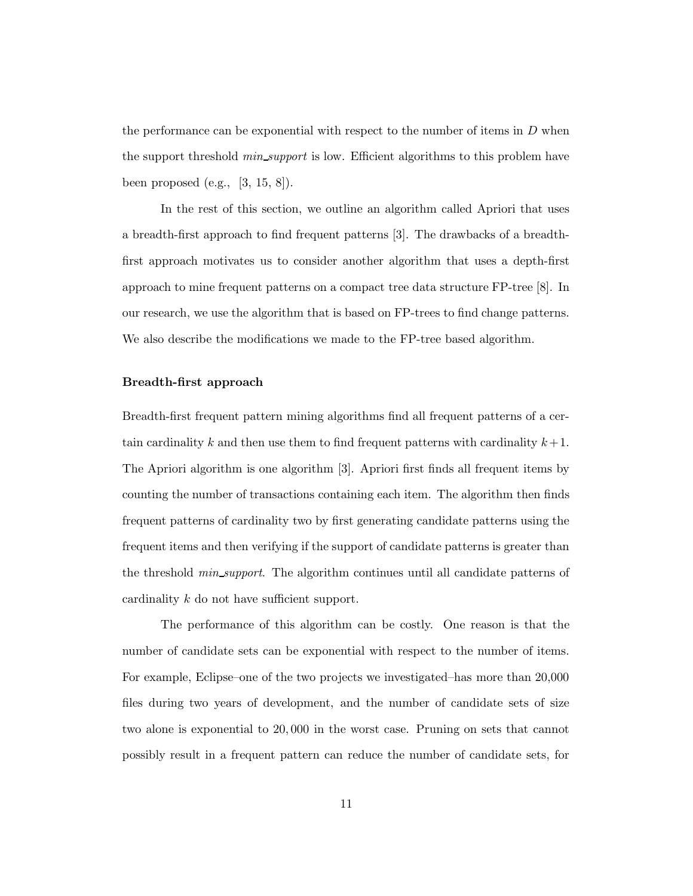the performance can be exponential with respect to the number of items in  $D$  when the support threshold *min\_support* is low. Efficient algorithms to this problem have been proposed (e.g., [3, 15, 8]).

In the rest of this section, we outline an algorithm called Apriori that uses a breadth-first approach to find frequent patterns [3]. The drawbacks of a breadthfirst approach motivates us to consider another algorithm that uses a depth-first approach to mine frequent patterns on a compact tree data structure FP-tree [8]. In our research, we use the algorithm that is based on FP-trees to find change patterns. We also describe the modifications we made to the FP-tree based algorithm.

#### Breadth-first approach

Breadth-first frequent pattern mining algorithms find all frequent patterns of a certain cardinality k and then use them to find frequent patterns with cardinality  $k+1$ . The Apriori algorithm is one algorithm [3]. Apriori first finds all frequent items by counting the number of transactions containing each item. The algorithm then finds frequent patterns of cardinality two by first generating candidate patterns using the frequent items and then verifying if the support of candidate patterns is greater than the threshold *min\_support*. The algorithm continues until all candidate patterns of cardinality k do not have sufficient support.

The performance of this algorithm can be costly. One reason is that the number of candidate sets can be exponential with respect to the number of items. For example, Eclipse–one of the two projects we investigated–has more than 20,000 files during two years of development, and the number of candidate sets of size two alone is exponential to 20, 000 in the worst case. Pruning on sets that cannot possibly result in a frequent pattern can reduce the number of candidate sets, for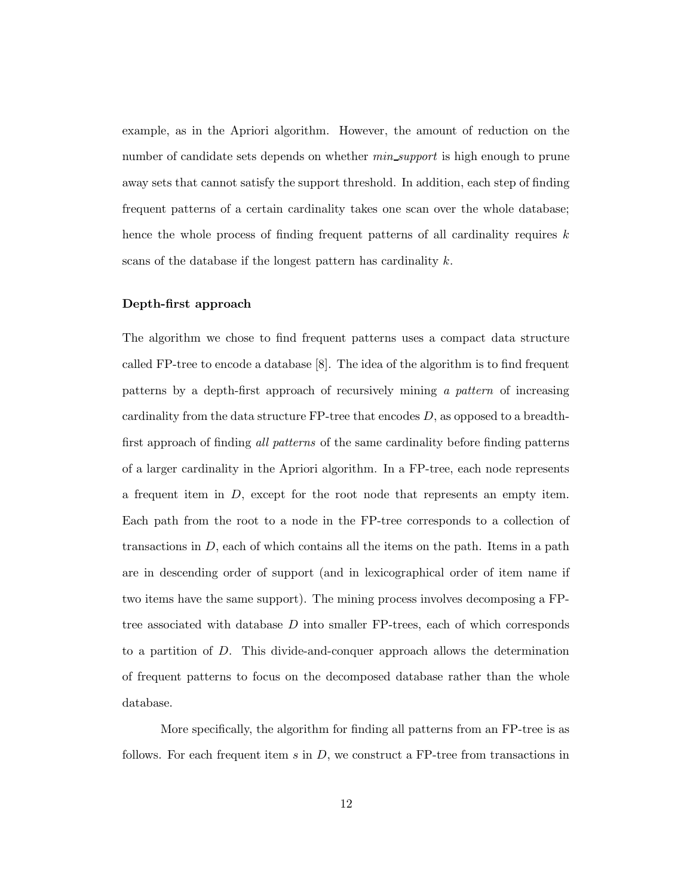example, as in the Apriori algorithm. However, the amount of reduction on the number of candidate sets depends on whether *min\_support* is high enough to prune away sets that cannot satisfy the support threshold. In addition, each step of finding frequent patterns of a certain cardinality takes one scan over the whole database; hence the whole process of finding frequent patterns of all cardinality requires  $k$ scans of the database if the longest pattern has cardinality  $k$ .

#### Depth-first approach

The algorithm we chose to find frequent patterns uses a compact data structure called FP-tree to encode a database [8]. The idea of the algorithm is to find frequent patterns by a depth-first approach of recursively mining a pattern of increasing cardinality from the data structure FP-tree that encodes D, as opposed to a breadthfirst approach of finding all patterns of the same cardinality before finding patterns of a larger cardinality in the Apriori algorithm. In a FP-tree, each node represents a frequent item in D, except for the root node that represents an empty item. Each path from the root to a node in the FP-tree corresponds to a collection of transactions in  $D$ , each of which contains all the items on the path. Items in a path are in descending order of support (and in lexicographical order of item name if two items have the same support). The mining process involves decomposing a FPtree associated with database D into smaller FP-trees, each of which corresponds to a partition of D. This divide-and-conquer approach allows the determination of frequent patterns to focus on the decomposed database rather than the whole database.

More specifically, the algorithm for finding all patterns from an FP-tree is as follows. For each frequent item  $s$  in  $D$ , we construct a FP-tree from transactions in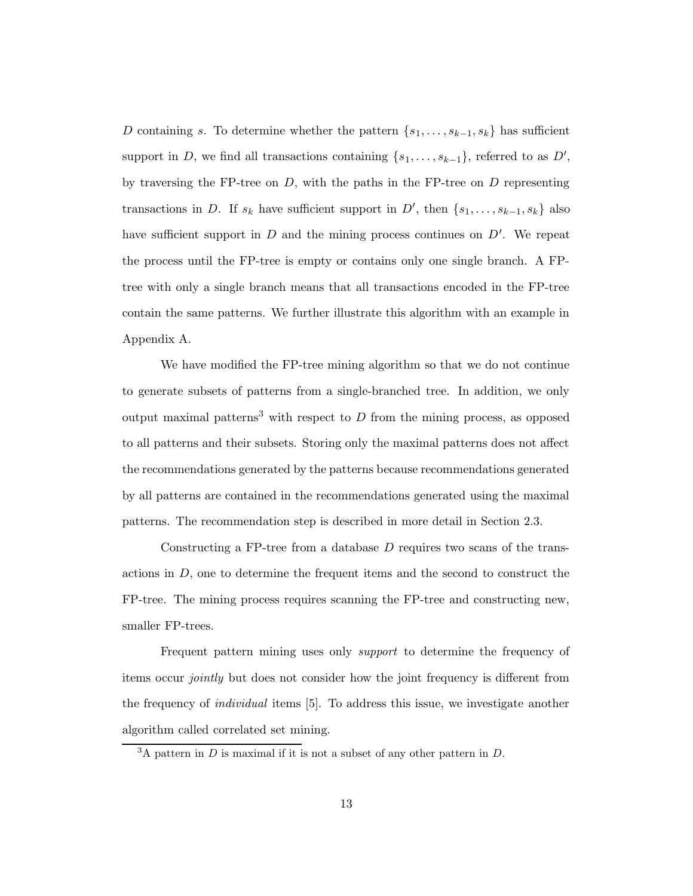D containing s. To determine whether the pattern  $\{s_1, \ldots, s_{k-1}, s_k\}$  has sufficient support in D, we find all transactions containing  $\{s_1, \ldots, s_{k-1}\}\$ , referred to as  $D'$ , by traversing the FP-tree on  $D$ , with the paths in the FP-tree on  $D$  representing transactions in D. If  $s_k$  have sufficient support in D', then  $\{s_1, \ldots, s_{k-1}, s_k\}$  also have sufficient support in  $D$  and the mining process continues on  $D'$ . We repeat the process until the FP-tree is empty or contains only one single branch. A FPtree with only a single branch means that all transactions encoded in the FP-tree contain the same patterns. We further illustrate this algorithm with an example in Appendix A.

We have modified the FP-tree mining algorithm so that we do not continue to generate subsets of patterns from a single-branched tree. In addition, we only output maximal patterns<sup>3</sup> with respect to  $D$  from the mining process, as opposed to all patterns and their subsets. Storing only the maximal patterns does not affect the recommendations generated by the patterns because recommendations generated by all patterns are contained in the recommendations generated using the maximal patterns. The recommendation step is described in more detail in Section 2.3.

Constructing a FP-tree from a database  $D$  requires two scans of the transactions in  $D$ , one to determine the frequent items and the second to construct the FP-tree. The mining process requires scanning the FP-tree and constructing new, smaller FP-trees.

Frequent pattern mining uses only support to determine the frequency of items occur jointly but does not consider how the joint frequency is different from the frequency of individual items [5]. To address this issue, we investigate another algorithm called correlated set mining.

 $3A$  pattern in D is maximal if it is not a subset of any other pattern in D.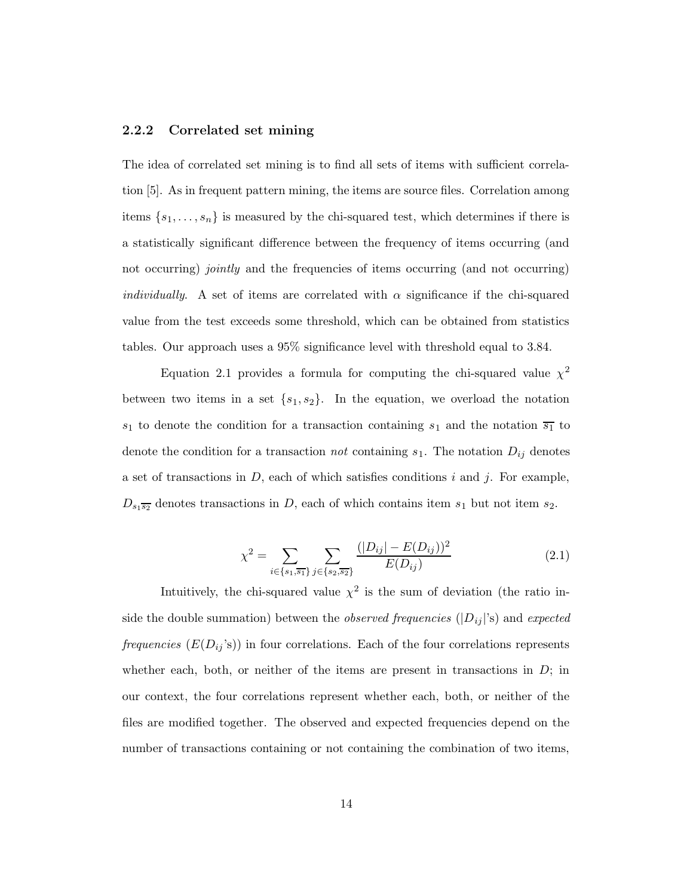#### 2.2.2 Correlated set mining

The idea of correlated set mining is to find all sets of items with sufficient correlation [5]. As in frequent pattern mining, the items are source files. Correlation among items  $\{s_1, \ldots, s_n\}$  is measured by the chi-squared test, which determines if there is a statistically significant difference between the frequency of items occurring (and not occurring) *jointly* and the frequencies of items occurring (and not occurring) *individually.* A set of items are correlated with  $\alpha$  significance if the chi-squared value from the test exceeds some threshold, which can be obtained from statistics tables. Our approach uses a 95% significance level with threshold equal to 3.84.

Equation 2.1 provides a formula for computing the chi-squared value  $\chi^2$ between two items in a set  $\{s_1, s_2\}$ . In the equation, we overload the notation  $s_1$  to denote the condition for a transaction containing  $s_1$  and the notation  $\overline{s_1}$  to denote the condition for a transaction *not* containing  $s_1$ . The notation  $D_{ij}$  denotes a set of transactions in  $D$ , each of which satisfies conditions i and j. For example,  $D_{s_1\overline{s_2}}$  denotes transactions in D, each of which contains item  $s_1$  but not item  $s_2$ .

$$
\chi^2 = \sum_{i \in \{s_1, \overline{s_1}\}} \sum_{j \in \{s_2, \overline{s_2}\}} \frac{(|D_{ij}| - E(D_{ij}))^2}{E(D_{ij})}
$$
(2.1)

Intuitively, the chi-squared value  $\chi^2$  is the sum of deviation (the ratio inside the double summation) between the *observed frequencies*  $(|D_{ij}|)$ 's) and expected frequencies  $(E(D_{ij}^{\prime}s))$  in four correlations. Each of the four correlations represents whether each, both, or neither of the items are present in transactions in  $D$ ; in our context, the four correlations represent whether each, both, or neither of the files are modified together. The observed and expected frequencies depend on the number of transactions containing or not containing the combination of two items,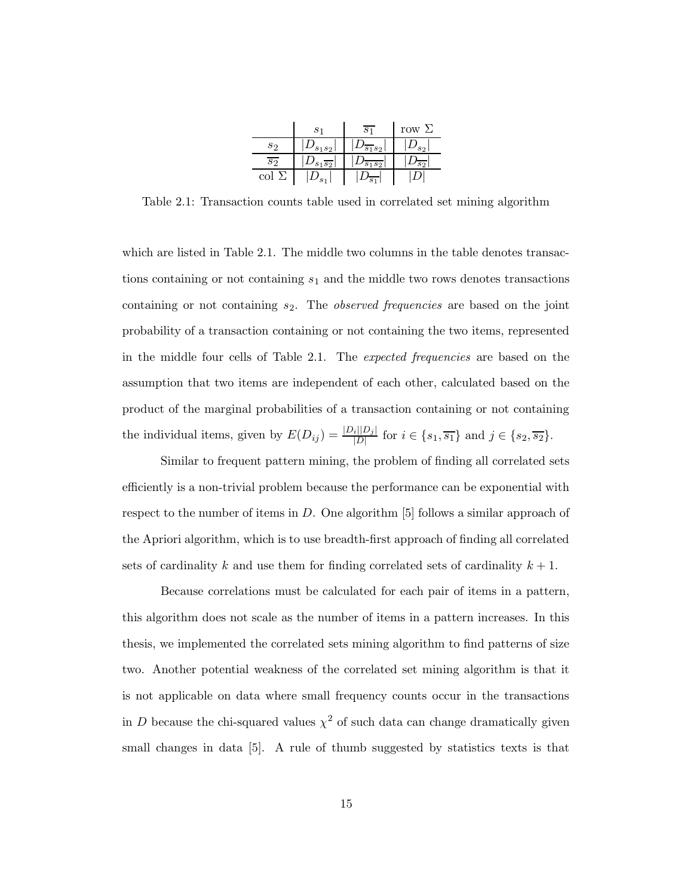|     |                     |         | row $\Sigma$ |
|-----|---------------------|---------|--------------|
| Sາ  | 1s <sub>2</sub>     | S9      |              |
| S9  | $s_1\overline{s_2}$ | $s_{2}$ |              |
| col |                     |         |              |

Table 2.1: Transaction counts table used in correlated set mining algorithm

which are listed in Table 2.1. The middle two columns in the table denotes transactions containing or not containing  $s_1$  and the middle two rows denotes transactions containing or not containing  $s_2$ . The *observed frequencies* are based on the joint probability of a transaction containing or not containing the two items, represented in the middle four cells of Table 2.1. The expected frequencies are based on the assumption that two items are independent of each other, calculated based on the product of the marginal probabilities of a transaction containing or not containing the individual items, given by  $E(D_{ij}) = \frac{|D_i||D_j|}{|D|}$  $\frac{i|D_j|}{|D|}$  for  $i \in \{s_1, \overline{s_1}\}\$  and  $j \in \{s_2, \overline{s_2}\}.$ 

Similar to frequent pattern mining, the problem of finding all correlated sets efficiently is a non-trivial problem because the performance can be exponential with respect to the number of items in  $D$ . One algorithm [5] follows a similar approach of the Apriori algorithm, which is to use breadth-first approach of finding all correlated sets of cardinality k and use them for finding correlated sets of cardinality  $k + 1$ .

Because correlations must be calculated for each pair of items in a pattern, this algorithm does not scale as the number of items in a pattern increases. In this thesis, we implemented the correlated sets mining algorithm to find patterns of size two. Another potential weakness of the correlated set mining algorithm is that it is not applicable on data where small frequency counts occur in the transactions in D because the chi-squared values  $\chi^2$  of such data can change dramatically given small changes in data [5]. A rule of thumb suggested by statistics texts is that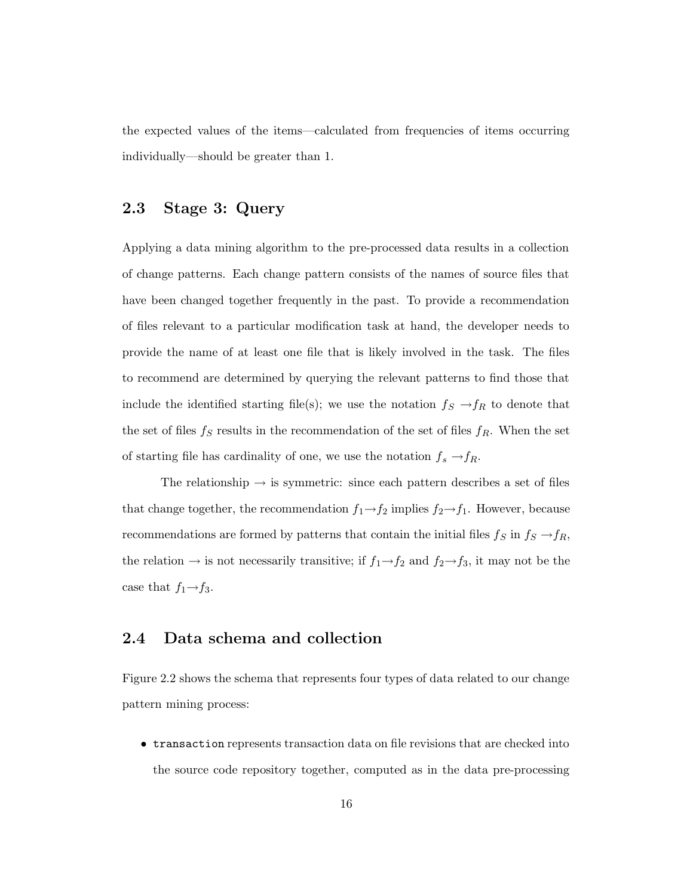the expected values of the items—calculated from frequencies of items occurring individually—should be greater than 1.

#### 2.3 Stage 3: Query

Applying a data mining algorithm to the pre-processed data results in a collection of change patterns. Each change pattern consists of the names of source files that have been changed together frequently in the past. To provide a recommendation of files relevant to a particular modification task at hand, the developer needs to provide the name of at least one file that is likely involved in the task. The files to recommend are determined by querying the relevant patterns to find those that include the identified starting file(s); we use the notation  $f_S \rightarrow f_R$  to denote that the set of files  $f_S$  results in the recommendation of the set of files  $f_R$ . When the set of starting file has cardinality of one, we use the notation  $f_s \rightarrow f_R$ .

The relationship  $\rightarrow$  is symmetric: since each pattern describes a set of files that change together, the recommendation  $f_1 \rightarrow f_2$  implies  $f_2 \rightarrow f_1$ . However, because recommendations are formed by patterns that contain the initial files  $f_S$  in  $f_S \to f_R$ , the relation  $\rightarrow$  is not necessarily transitive; if  $f_1 \rightarrow f_2$  and  $f_2 \rightarrow f_3$ , it may not be the case that  $f_1 \rightarrow f_3$ .

#### 2.4 Data schema and collection

Figure 2.2 shows the schema that represents four types of data related to our change pattern mining process:

• transaction represents transaction data on file revisions that are checked into the source code repository together, computed as in the data pre-processing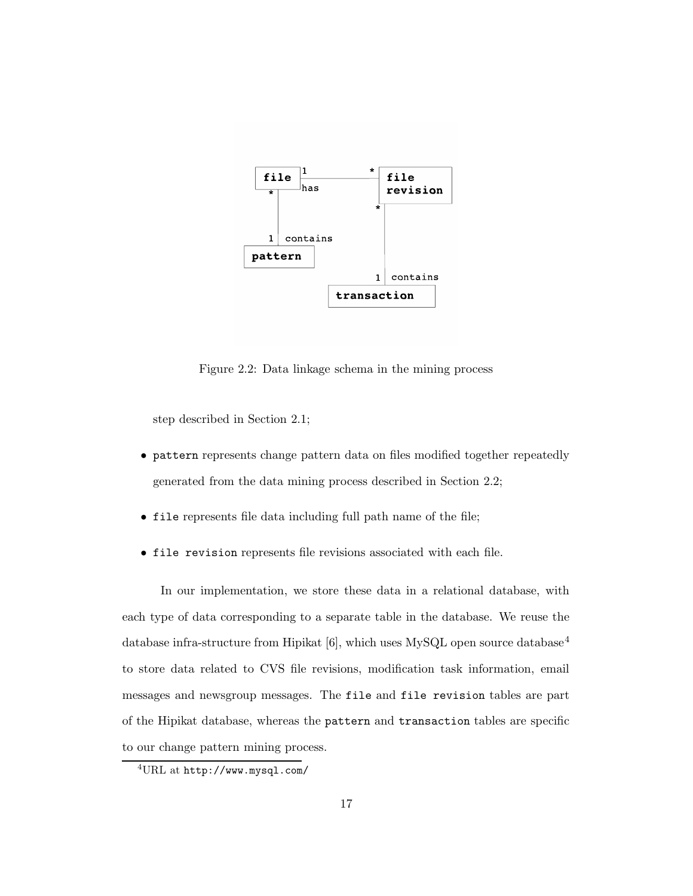

Figure 2.2: Data linkage schema in the mining process

step described in Section 2.1;

- pattern represents change pattern data on files modified together repeatedly generated from the data mining process described in Section 2.2;
- file represents file data including full path name of the file;
- file revision represents file revisions associated with each file.

In our implementation, we store these data in a relational database, with each type of data corresponding to a separate table in the database. We reuse the database infra-structure from Hipikat [6], which uses MySQL open source database<sup>4</sup> to store data related to CVS file revisions, modification task information, email messages and newsgroup messages. The file and file revision tables are part of the Hipikat database, whereas the pattern and transaction tables are specific to our change pattern mining process.

<sup>4</sup>URL at http://www.mysql.com/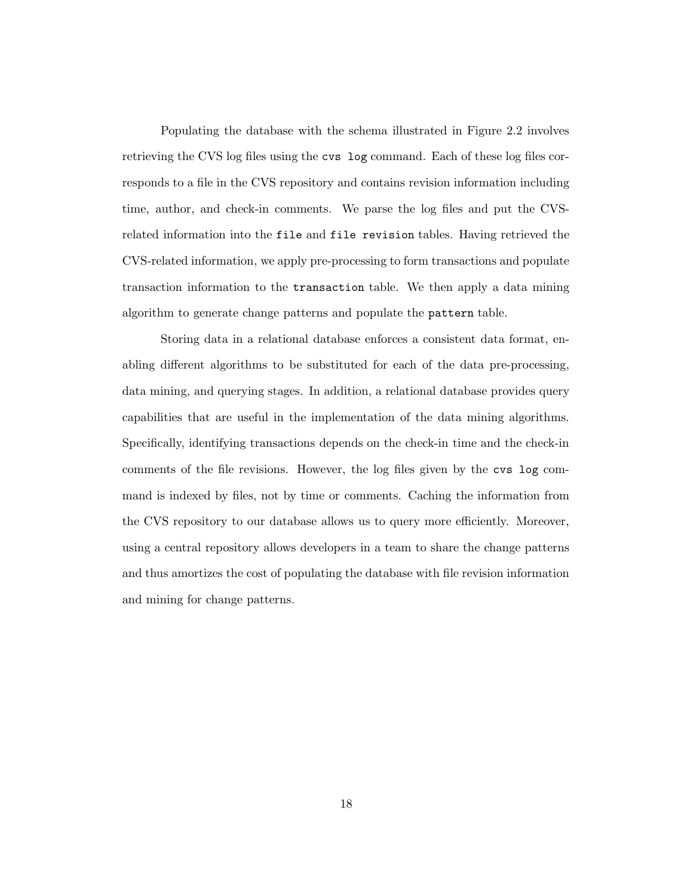Populating the database with the schema illustrated in Figure 2.2 involves retrieving the CVS log files using the cvs log command. Each of these log files corresponds to a file in the CVS repository and contains revision information including time, author, and check-in comments. We parse the log files and put the CVSrelated information into the file and file revision tables. Having retrieved the CVS-related information, we apply pre-processing to form transactions and populate transaction information to the transaction table. We then apply a data mining algorithm to generate change patterns and populate the pattern table.

Storing data in a relational database enforces a consistent data format, enabling different algorithms to be substituted for each of the data pre-processing, data mining, and querying stages. In addition, a relational database provides query capabilities that are useful in the implementation of the data mining algorithms. Specifically, identifying transactions depends on the check-in time and the check-in comments of the file revisions. However, the log files given by the cvs log command is indexed by files, not by time or comments. Caching the information from the CVS repository to our database allows us to query more efficiently. Moreover, using a central repository allows developers in a team to share the change patterns and thus amortizes the cost of populating the database with file revision information and mining for change patterns.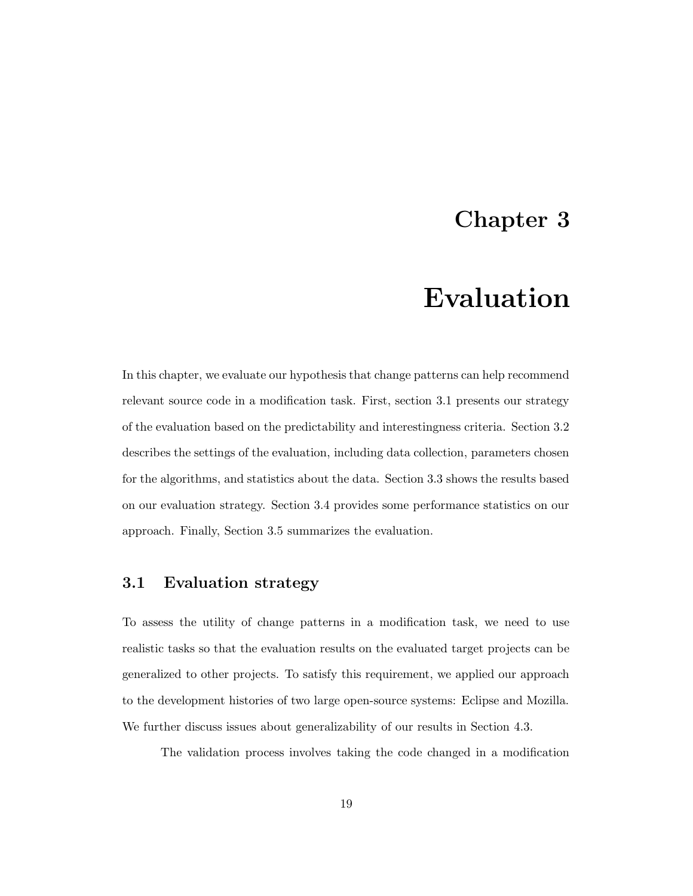### Chapter 3

## Evaluation

In this chapter, we evaluate our hypothesis that change patterns can help recommend relevant source code in a modification task. First, section 3.1 presents our strategy of the evaluation based on the predictability and interestingness criteria. Section 3.2 describes the settings of the evaluation, including data collection, parameters chosen for the algorithms, and statistics about the data. Section 3.3 shows the results based on our evaluation strategy. Section 3.4 provides some performance statistics on our approach. Finally, Section 3.5 summarizes the evaluation.

#### 3.1 Evaluation strategy

To assess the utility of change patterns in a modification task, we need to use realistic tasks so that the evaluation results on the evaluated target projects can be generalized to other projects. To satisfy this requirement, we applied our approach to the development histories of two large open-source systems: Eclipse and Mozilla. We further discuss issues about generalizability of our results in Section 4.3.

The validation process involves taking the code changed in a modification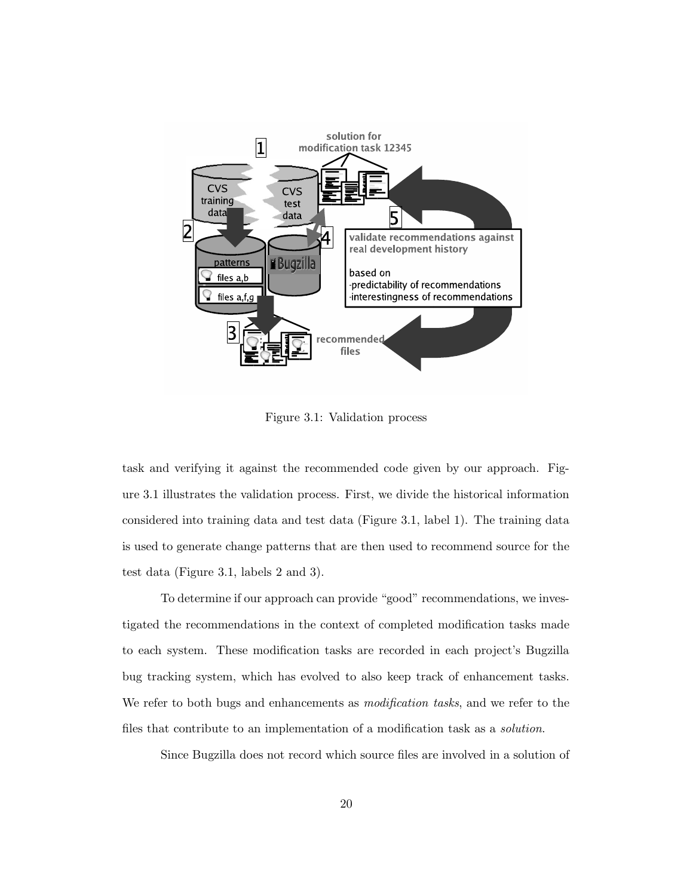

Figure 3.1: Validation process

task and verifying it against the recommended code given by our approach. Figure 3.1 illustrates the validation process. First, we divide the historical information considered into training data and test data (Figure 3.1, label 1). The training data is used to generate change patterns that are then used to recommend source for the test data (Figure 3.1, labels 2 and 3).

To determine if our approach can provide "good" recommendations, we investigated the recommendations in the context of completed modification tasks made to each system. These modification tasks are recorded in each project's Bugzilla bug tracking system, which has evolved to also keep track of enhancement tasks. We refer to both bugs and enhancements as *modification tasks*, and we refer to the files that contribute to an implementation of a modification task as a solution.

Since Bugzilla does not record which source files are involved in a solution of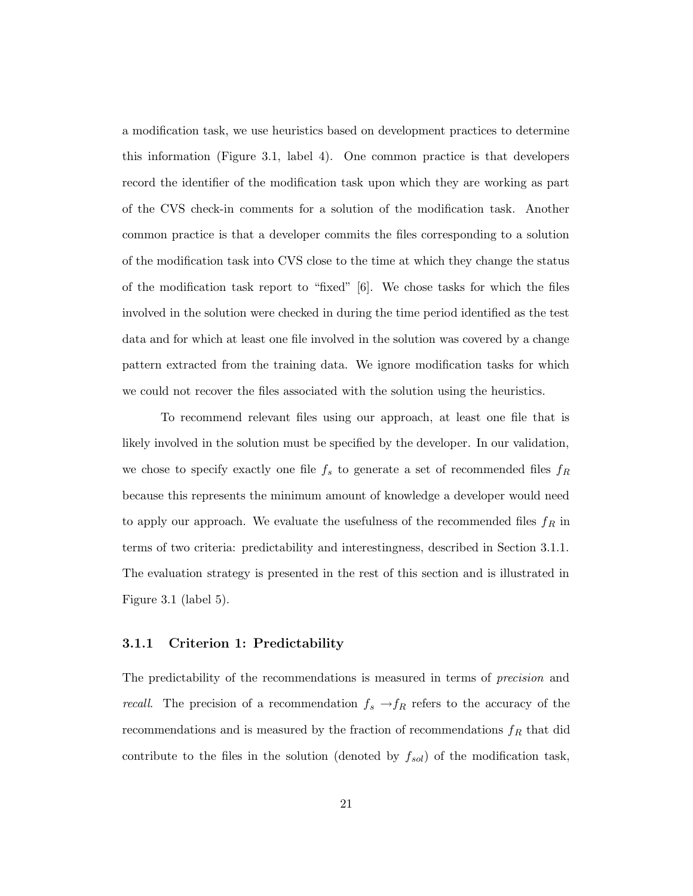a modification task, we use heuristics based on development practices to determine this information (Figure 3.1, label 4). One common practice is that developers record the identifier of the modification task upon which they are working as part of the CVS check-in comments for a solution of the modification task. Another common practice is that a developer commits the files corresponding to a solution of the modification task into CVS close to the time at which they change the status of the modification task report to "fixed" [6]. We chose tasks for which the files involved in the solution were checked in during the time period identified as the test data and for which at least one file involved in the solution was covered by a change pattern extracted from the training data. We ignore modification tasks for which we could not recover the files associated with the solution using the heuristics.

To recommend relevant files using our approach, at least one file that is likely involved in the solution must be specified by the developer. In our validation, we chose to specify exactly one file  $f_s$  to generate a set of recommended files  $f_R$ because this represents the minimum amount of knowledge a developer would need to apply our approach. We evaluate the usefulness of the recommended files  $f_R$  in terms of two criteria: predictability and interestingness, described in Section 3.1.1. The evaluation strategy is presented in the rest of this section and is illustrated in Figure 3.1 (label 5).

#### 3.1.1 Criterion 1: Predictability

The predictability of the recommendations is measured in terms of precision and *recall.* The precision of a recommendation  $f_s \rightarrow f_R$  refers to the accuracy of the recommendations and is measured by the fraction of recommendations  $f_R$  that did contribute to the files in the solution (denoted by  $f_{sol}$ ) of the modification task,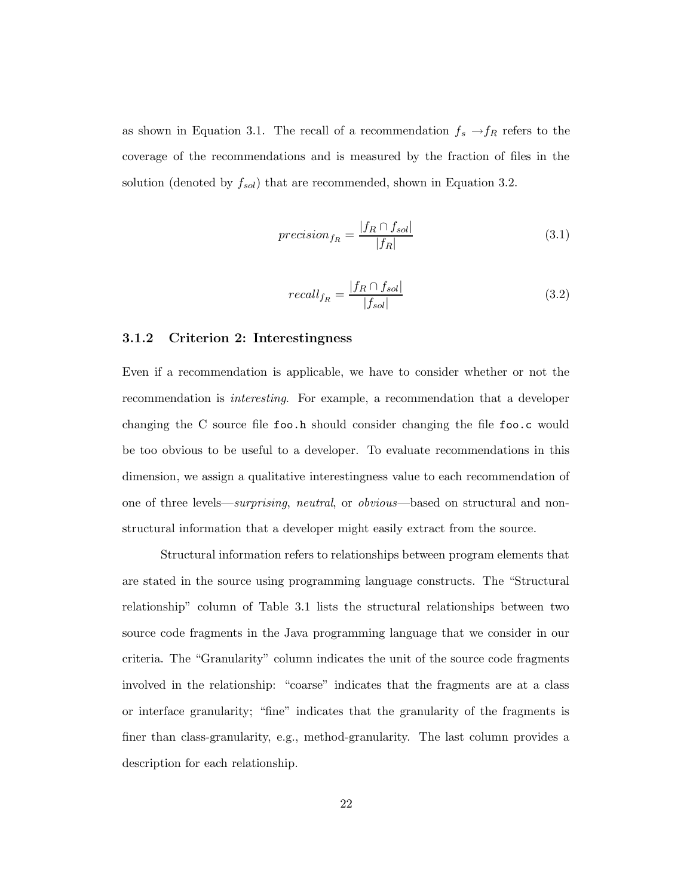as shown in Equation 3.1. The recall of a recommendation  $f_s \to f_R$  refers to the coverage of the recommendations and is measured by the fraction of files in the solution (denoted by  $f_{sol}$ ) that are recommended, shown in Equation 3.2.

$$
precision_{fn} = \frac{|f_R \cap f_{sol}|}{|f_R|} \tag{3.1}
$$

$$
recall_{fn} = \frac{|f_R \cap f_{sol}|}{|f_{sol}|}
$$
\n(3.2)

#### 3.1.2 Criterion 2: Interestingness

Even if a recommendation is applicable, we have to consider whether or not the recommendation is interesting. For example, a recommendation that a developer changing the C source file foo.h should consider changing the file foo.c would be too obvious to be useful to a developer. To evaluate recommendations in this dimension, we assign a qualitative interestingness value to each recommendation of one of three levels—surprising, neutral, or obvious—based on structural and nonstructural information that a developer might easily extract from the source.

Structural information refers to relationships between program elements that are stated in the source using programming language constructs. The "Structural relationship" column of Table 3.1 lists the structural relationships between two source code fragments in the Java programming language that we consider in our criteria. The "Granularity" column indicates the unit of the source code fragments involved in the relationship: "coarse" indicates that the fragments are at a class or interface granularity; "fine" indicates that the granularity of the fragments is finer than class-granularity, e.g., method-granularity. The last column provides a description for each relationship.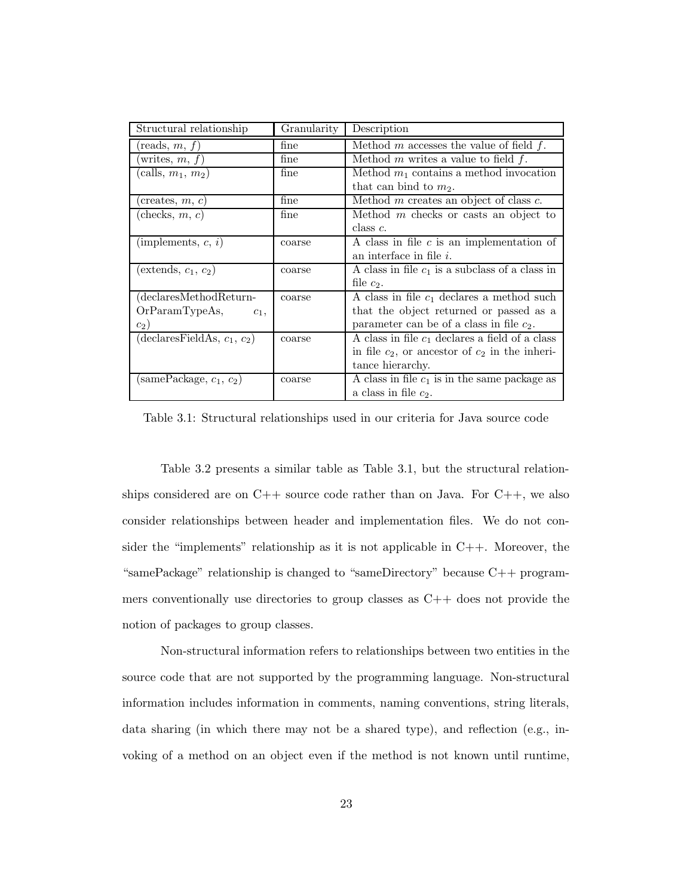| Structural relationship                            | Granularity | Description                                         |
|----------------------------------------------------|-------------|-----------------------------------------------------|
| reads, $m, f$ )                                    | fine        | Method m accesses the value of field $f$ .          |
| writes, $m, f$ )                                   | fine        | Method $m$ writes a value to field $f$ .            |
| (calls, $m_1, m_2$ )                               | fine        | Method $m_1$ contains a method invocation           |
|                                                    |             | that can bind to $m_2$ .                            |
| $(\text{creates}, m, c)$                           | fine        | Method $m$ creates an object of class $c$ .         |
| checks, $m, c$                                     | fine        | Method $m$ checks or casts an object to             |
|                                                    |             | $class c$ .                                         |
| (implements, $c, i$ )                              | coarse      | A class in file $c$ is an implementation of         |
|                                                    |             | an interface in file $i$ .                          |
| $(\text{extends}, c_1, c_2)$                       | coarse      | A class in file $c_1$ is a subclass of a class in   |
|                                                    |             | file $c_2$ .                                        |
| declaresMethodReturn-                              | coarse      | A class in file $c_1$ declares a method such        |
| OrParamTypeAs,<br>$c_1$ ,                          |             | that the object returned or passed as a             |
| $c_2$ )                                            |             | parameter can be of a class in file $c_2$ .         |
| $\overline{\text{dec}}$ laresFieldAs, $c_1, c_2$ ) | coarse      | A class in file $c_1$ declares a field of a class   |
|                                                    |             | in file $c_2$ , or ancestor of $c_2$ in the inheri- |
|                                                    |             | tance hierarchy.                                    |
| $(\text{samePackage}, c_1, c_2)$                   | coarse      | A class in file $c_1$ is in the same package as     |
|                                                    |             | a class in file $c_2$ .                             |

Table 3.1: Structural relationships used in our criteria for Java source code

Table 3.2 presents a similar table as Table 3.1, but the structural relationships considered are on C++ source code rather than on Java. For C++, we also consider relationships between header and implementation files. We do not consider the "implements" relationship as it is not applicable in C++. Moreover, the "samePackage" relationship is changed to "sameDirectory" because C++ programmers conventionally use directories to group classes as C++ does not provide the notion of packages to group classes.

Non-structural information refers to relationships between two entities in the source code that are not supported by the programming language. Non-structural information includes information in comments, naming conventions, string literals, data sharing (in which there may not be a shared type), and reflection (e.g., invoking of a method on an object even if the method is not known until runtime,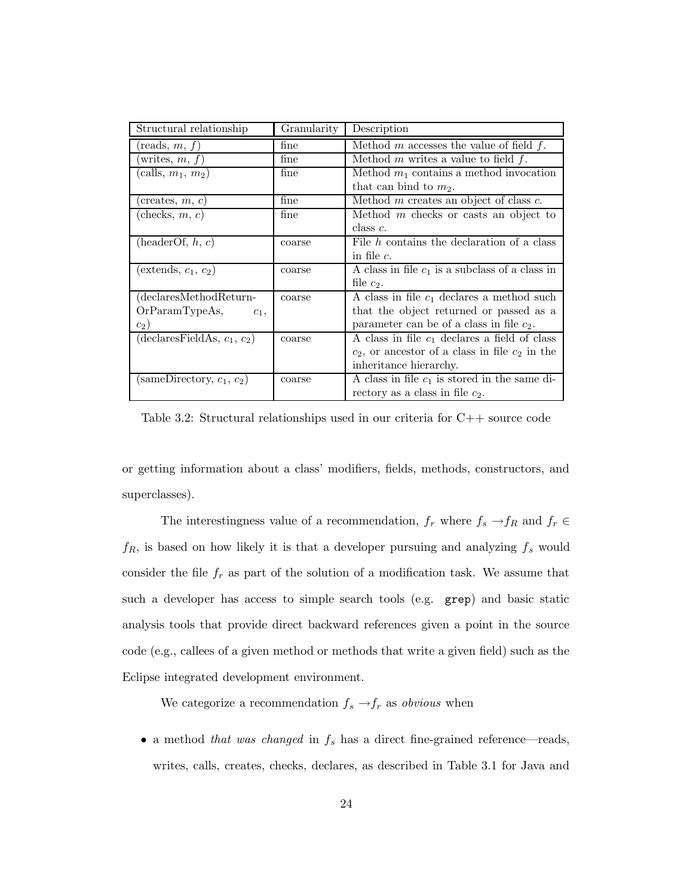| Structural relationship                       | Granularity   | Description                                         |
|-----------------------------------------------|---------------|-----------------------------------------------------|
| $(\text{reads}, m, f)$                        | fine          | Method m accesses the value of field $f$ .          |
| writes, $m, f$ )                              | $_{\rm fine}$ | Method $m$ writes a value to field $f$ .            |
| (calls, $m_1, m_2$ )                          | fine          | Method $m_1$ contains a method invocation           |
|                                               |               | that can bind to $m_2$ .                            |
| creates, $m, c$                               | fine          | Method $m$ creates an object of class $c$ .         |
| (checks, m, c)                                | fine          | Method $m$ checks or casts an object to             |
|                                               |               | $class c$ .                                         |
| (headerOf, h, c)                              | coarse        | File $h$ contains the declaration of a class        |
|                                               |               | in file $c$ .                                       |
| $(\text{extends}, c_1, c_2)$                  | coarse        | A class in file $c_1$ is a subclass of a class in   |
|                                               |               | file $c_2$ .                                        |
| declaresMethodReturn-                         | coarse        | A class in file $c_1$ declares a method such        |
| OrParamTypeAs,<br>$c_1$ ,                     |               | that the object returned or passed as a             |
| $c_2$ )                                       |               | parameter can be of a class in file $c_2$ .         |
| $\overline{\text{declaresFieldAs}, c_1, c_2}$ | coarse        | A class in file $c_1$ declares a field of class     |
|                                               |               | $c_2$ , or ancestor of a class in file $c_2$ in the |
|                                               |               | inheritance hierarchy.                              |
| (sameDirectory, $c_1$ , $c_2$ )               | coarse        | A class in file $c_1$ is stored in the same di-     |
|                                               |               | rectory as a class in file $c_2$ .                  |

Table 3.2: Structural relationships used in our criteria for C++ source code

or getting information about a class' modifiers, fields, methods, constructors, and superclasses).

The interestingness value of a recommendation,  $f_r$  where  $f_s \to f_R$  and  $f_r \in$  $f_R$ , is based on how likely it is that a developer pursuing and analyzing  $f_s$  would consider the file  $f_r$  as part of the solution of a modification task. We assume that such a developer has access to simple search tools (e.g. grep) and basic static analysis tools that provide direct backward references given a point in the source code (e.g., callees of a given method or methods that write a given field) such as the Eclipse integrated development environment.

We categorize a recommendation  $f_s \to \hspace{-3pt} f_r$  as  $obvious$  when

• a method that was changed in  $f_s$  has a direct fine-grained reference—reads, writes, calls, creates, checks, declares, as described in Table 3.1 for Java and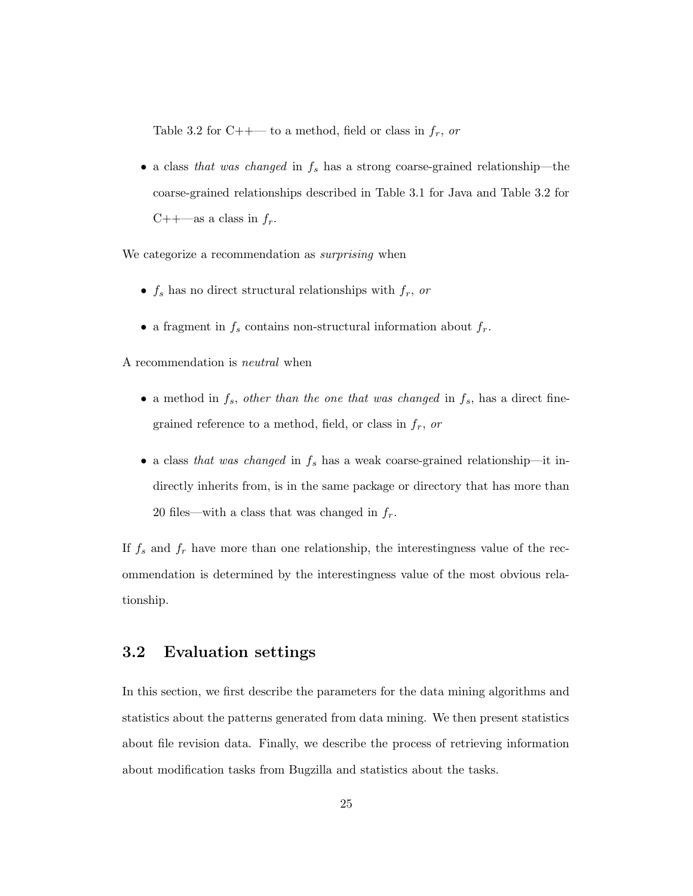Table 3.2 for C++— to a method, field or class in  $f_r$ , or

• a class that was changed in  $f_s$  has a strong coarse-grained relationship—the coarse-grained relationships described in Table 3.1 for Java and Table 3.2 for C++—as a class in  $f_r$ .

We categorize a recommendation as *surprising* when

- $f_s$  has no direct structural relationships with  $f_r$ , or
- $\bullet\,$  a fragment in  $f_s$  contains non-structural information about  $f_r.$

A recommendation is neutral when

- a method in  $f_s$ , other than the one that was changed in  $f_s$ , has a direct finegrained reference to a method, field, or class in  $f_r$ , or
- a class that was changed in  $f_s$  has a weak coarse-grained relationship—it indirectly inherits from, is in the same package or directory that has more than 20 files—with a class that was changed in  $f_r$ .

If  $f_s$  and  $f_r$  have more than one relationship, the interestingness value of the recommendation is determined by the interestingness value of the most obvious relationship.

#### 3.2 Evaluation settings

In this section, we first describe the parameters for the data mining algorithms and statistics about the patterns generated from data mining. We then present statistics about file revision data. Finally, we describe the process of retrieving information about modification tasks from Bugzilla and statistics about the tasks.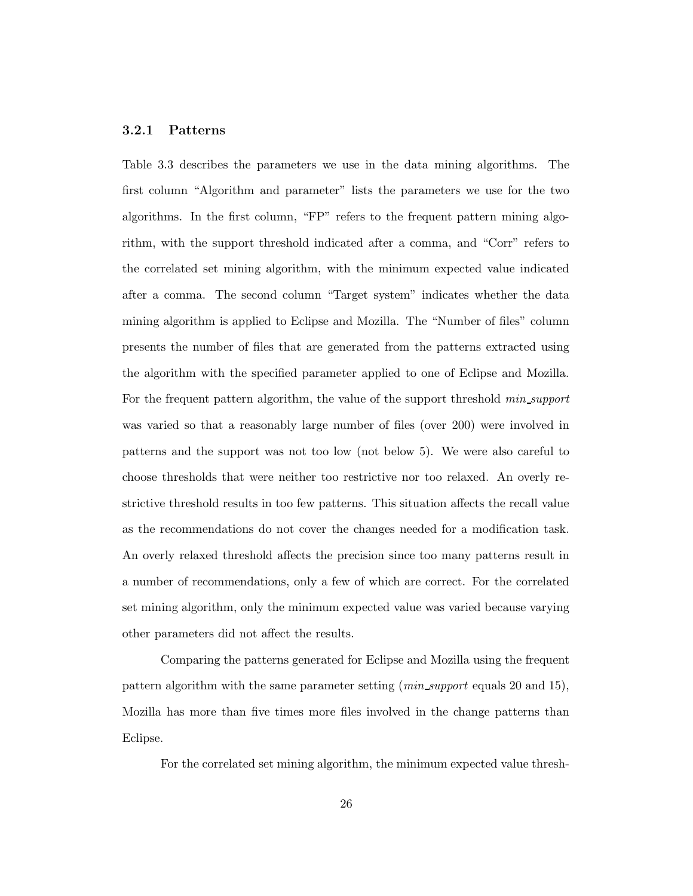#### 3.2.1 Patterns

Table 3.3 describes the parameters we use in the data mining algorithms. The first column "Algorithm and parameter" lists the parameters we use for the two algorithms. In the first column, "FP" refers to the frequent pattern mining algorithm, with the support threshold indicated after a comma, and "Corr" refers to the correlated set mining algorithm, with the minimum expected value indicated after a comma. The second column "Target system" indicates whether the data mining algorithm is applied to Eclipse and Mozilla. The "Number of files" column presents the number of files that are generated from the patterns extracted using the algorithm with the specified parameter applied to one of Eclipse and Mozilla. For the frequent pattern algorithm, the value of the support threshold min support was varied so that a reasonably large number of files (over 200) were involved in patterns and the support was not too low (not below 5). We were also careful to choose thresholds that were neither too restrictive nor too relaxed. An overly restrictive threshold results in too few patterns. This situation affects the recall value as the recommendations do not cover the changes needed for a modification task. An overly relaxed threshold affects the precision since too many patterns result in a number of recommendations, only a few of which are correct. For the correlated set mining algorithm, only the minimum expected value was varied because varying other parameters did not affect the results.

Comparing the patterns generated for Eclipse and Mozilla using the frequent pattern algorithm with the same parameter setting (min support equals 20 and 15), Mozilla has more than five times more files involved in the change patterns than Eclipse.

For the correlated set mining algorithm, the minimum expected value thresh-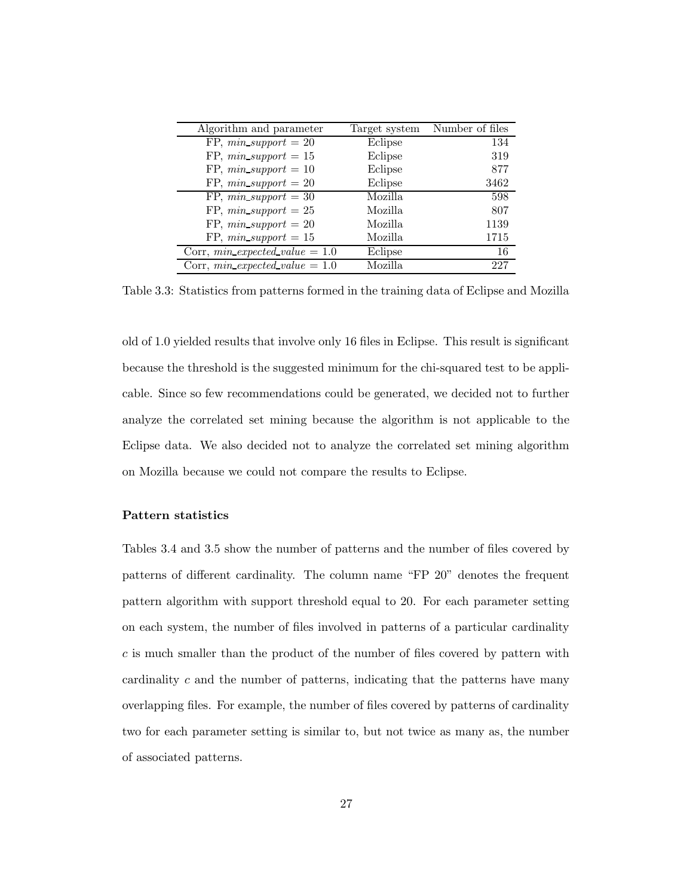| Algorithm and parameter            | Target system | Number of files |
|------------------------------------|---------------|-----------------|
| FP, $min\_support = 20$            | Eclipse       | 134             |
| FP, $min\_support = 15$            | Eclipse       | 319             |
| FP, $min\_support = 10$            | Eclipse       | 877             |
| FP, $min\_support = 20$            | Eclipse       | 3462            |
| $\overline{FP, min\_support} = 30$ | Mozilla.      | 598             |
| FP, $min\_support = 25$            | Mozilla       | 807             |
| FP, $min\_support = 20$            | Mozilla       | 1139            |
| FP, $min\_support = 15$            | Mozilla       | 1715            |
| Corr, $min\_expected\_value = 1.0$ | Eclipse       | 16              |
| Corr, $min\_expected\_value = 1.0$ | Mozilla       | 227             |

Table 3.3: Statistics from patterns formed in the training data of Eclipse and Mozilla

old of 1.0 yielded results that involve only 16 files in Eclipse. This result is significant because the threshold is the suggested minimum for the chi-squared test to be applicable. Since so few recommendations could be generated, we decided not to further analyze the correlated set mining because the algorithm is not applicable to the Eclipse data. We also decided not to analyze the correlated set mining algorithm on Mozilla because we could not compare the results to Eclipse.

#### Pattern statistics

Tables 3.4 and 3.5 show the number of patterns and the number of files covered by patterns of different cardinality. The column name "FP 20" denotes the frequent pattern algorithm with support threshold equal to 20. For each parameter setting on each system, the number of files involved in patterns of a particular cardinality  $c$  is much smaller than the product of the number of files covered by pattern with cardinality c and the number of patterns, indicating that the patterns have many overlapping files. For example, the number of files covered by patterns of cardinality two for each parameter setting is similar to, but not twice as many as, the number of associated patterns.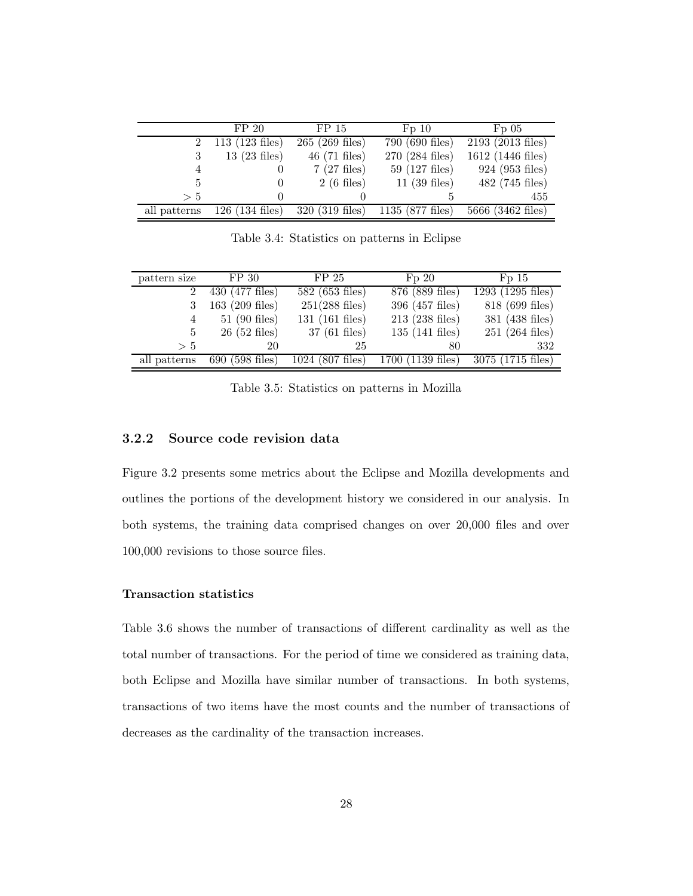|              | FP 20                    | FP <sub>15</sub>         | Fp 10                     | Fp05                |
|--------------|--------------------------|--------------------------|---------------------------|---------------------|
| $2^{\circ}$  | $113(123$ files)         | $265(269$ files)         | 790 (690 files)           | $2193(2013$ files)  |
|              | $13(23$ files)           | $46(71 \text{ files})$   | 270 (284 files)           | 1612 (1446 files)   |
|              |                          | $7(27$ files)            | $59(127 \text{ files})$   | 924 (953 files)     |
| 5.           |                          | $2(6$ files)             | $11(39$ files)            | 482 (745 files)     |
| > 5          |                          |                          |                           | 455                 |
| all patterns | $126(134 \text{ files})$ | $320(319 \text{ files})$ | $1135(877 \text{ files})$ | $5666$ (3462 files) |

Table 3.4: Statistics on patterns in Eclipse

| pattern size | FP 30                    | FP <sub>25</sub>         | Fp20                       | Fp15                |
|--------------|--------------------------|--------------------------|----------------------------|---------------------|
|              | 430 (477 files)          | 582 (653 files)          | 876 (889 files)            | $1293(1295$ files)  |
|              | $163$ (209 files)        | $251(288 \text{ files})$ | 396 (457 files)            | 818 (699 files)     |
| 4            | $51(90$ files)           | $131(161$ files)         | $213(238$ files)           | 381 (438 files)     |
| 5            | $26(52$ files)           | $37(61$ files)           | $135(141 \text{ files})$   | $251(264$ files)    |
| > 5          | 20                       | 25                       | 80                         | 332                 |
| all patterns | $690(598 \text{ files})$ | $1024$ (807 files)       | $1700(1139 \text{ files})$ | $3075$ (1715 files) |

Table 3.5: Statistics on patterns in Mozilla

#### 3.2.2 Source code revision data

Figure 3.2 presents some metrics about the Eclipse and Mozilla developments and outlines the portions of the development history we considered in our analysis. In both systems, the training data comprised changes on over 20,000 files and over 100,000 revisions to those source files.

#### Transaction statistics

Table 3.6 shows the number of transactions of different cardinality as well as the total number of transactions. For the period of time we considered as training data, both Eclipse and Mozilla have similar number of transactions. In both systems, transactions of two items have the most counts and the number of transactions of decreases as the cardinality of the transaction increases.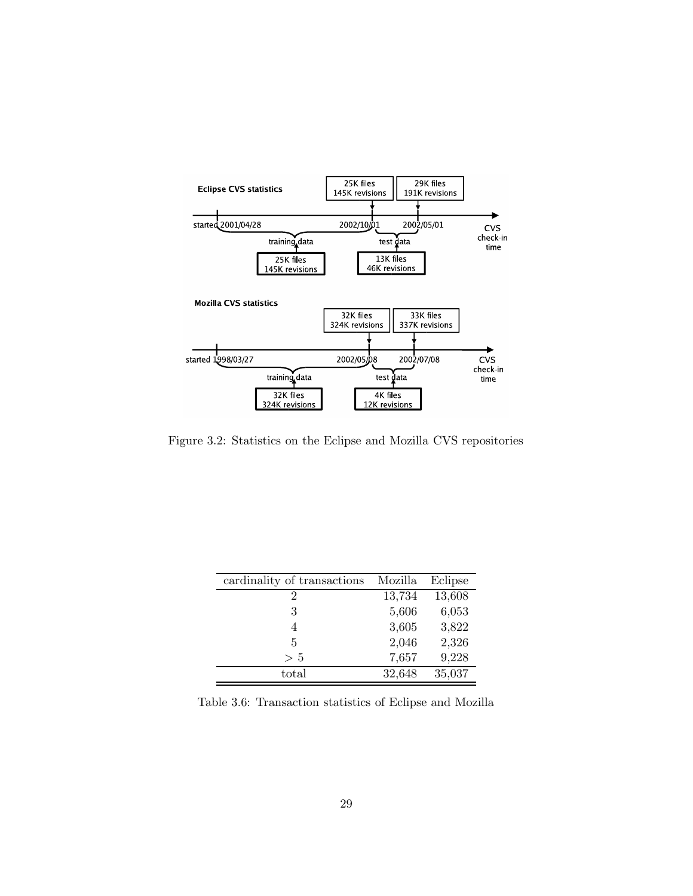

Figure 3.2: Statistics on the Eclipse and Mozilla CVS repositories

| cardinality of transactions | Mozilla | Eclipse |
|-----------------------------|---------|---------|
| 2                           | 13,734  | 13,608  |
| 3                           | 5,606   | 6,053   |
| 4                           | 3,605   | 3,822   |
| 5                           | 2,046   | 2,326   |
| > 5                         | 7,657   | 9,228   |
| total                       | 32,648  | 35,037  |

Table 3.6: Transaction statistics of Eclipse and Mozilla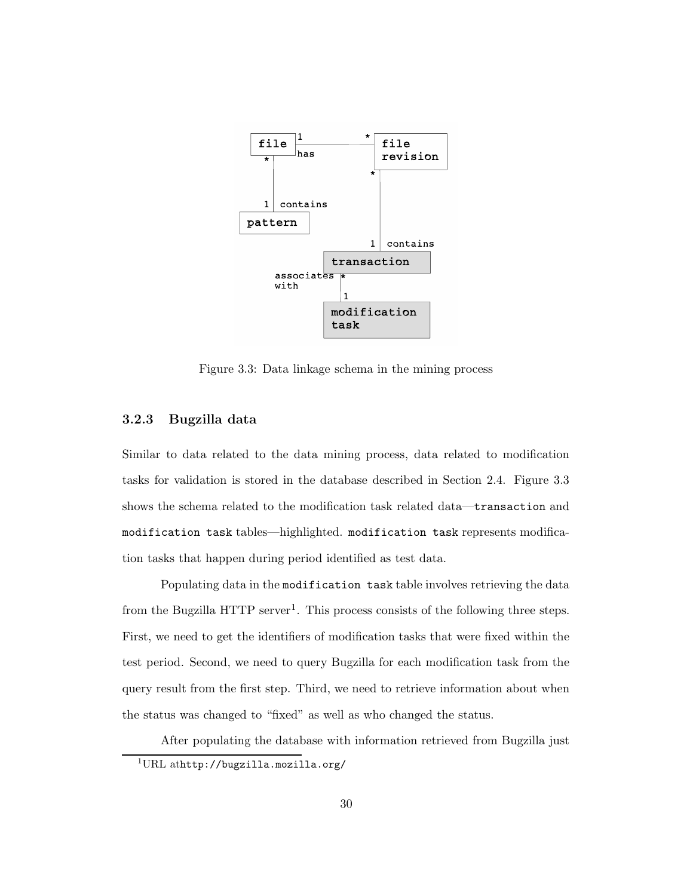

Figure 3.3: Data linkage schema in the mining process

#### 3.2.3 Bugzilla data

Similar to data related to the data mining process, data related to modification tasks for validation is stored in the database described in Section 2.4. Figure 3.3 shows the schema related to the modification task related data—transaction and modification task tables—highlighted. modification task represents modification tasks that happen during period identified as test data.

Populating data in the modification task table involves retrieving the data from the Bugzilla HTTP server<sup>1</sup>. This process consists of the following three steps. First, we need to get the identifiers of modification tasks that were fixed within the test period. Second, we need to query Bugzilla for each modification task from the query result from the first step. Third, we need to retrieve information about when the status was changed to "fixed" as well as who changed the status.

After populating the database with information retrieved from Bugzilla just

<sup>1</sup>URL athttp://bugzilla.mozilla.org/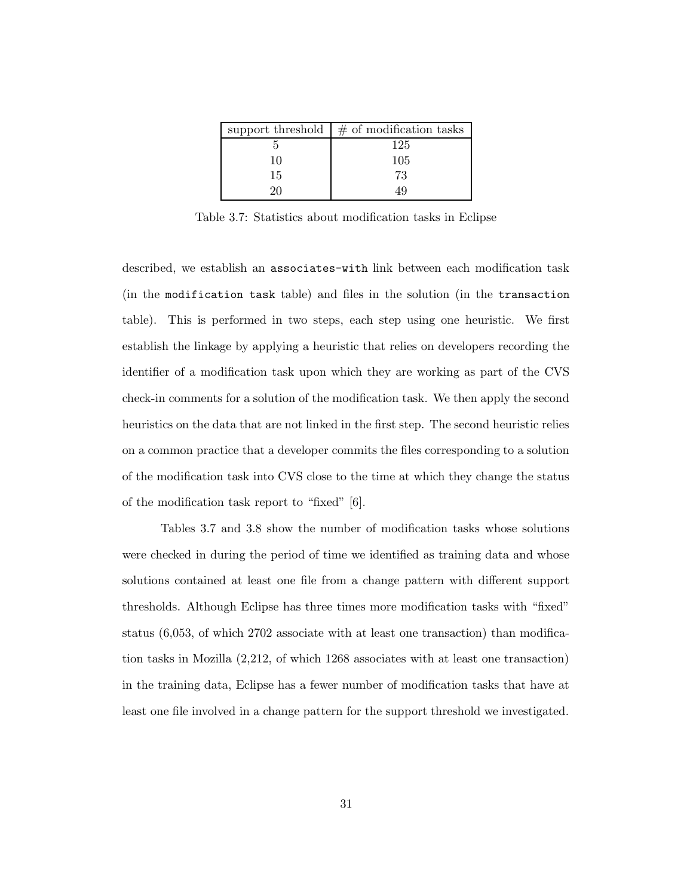|    | support threshold $\vert \#$ of modification tasks |
|----|----------------------------------------------------|
|    | 125                                                |
| 10 | 105                                                |
| 15 | 73                                                 |
| חכ |                                                    |

Table 3.7: Statistics about modification tasks in Eclipse

described, we establish an associates-with link between each modification task (in the modification task table) and files in the solution (in the transaction table). This is performed in two steps, each step using one heuristic. We first establish the linkage by applying a heuristic that relies on developers recording the identifier of a modification task upon which they are working as part of the CVS check-in comments for a solution of the modification task. We then apply the second heuristics on the data that are not linked in the first step. The second heuristic relies on a common practice that a developer commits the files corresponding to a solution of the modification task into CVS close to the time at which they change the status of the modification task report to "fixed" [6].

Tables 3.7 and 3.8 show the number of modification tasks whose solutions were checked in during the period of time we identified as training data and whose solutions contained at least one file from a change pattern with different support thresholds. Although Eclipse has three times more modification tasks with "fixed" status (6,053, of which 2702 associate with at least one transaction) than modification tasks in Mozilla (2,212, of which 1268 associates with at least one transaction) in the training data, Eclipse has a fewer number of modification tasks that have at least one file involved in a change pattern for the support threshold we investigated.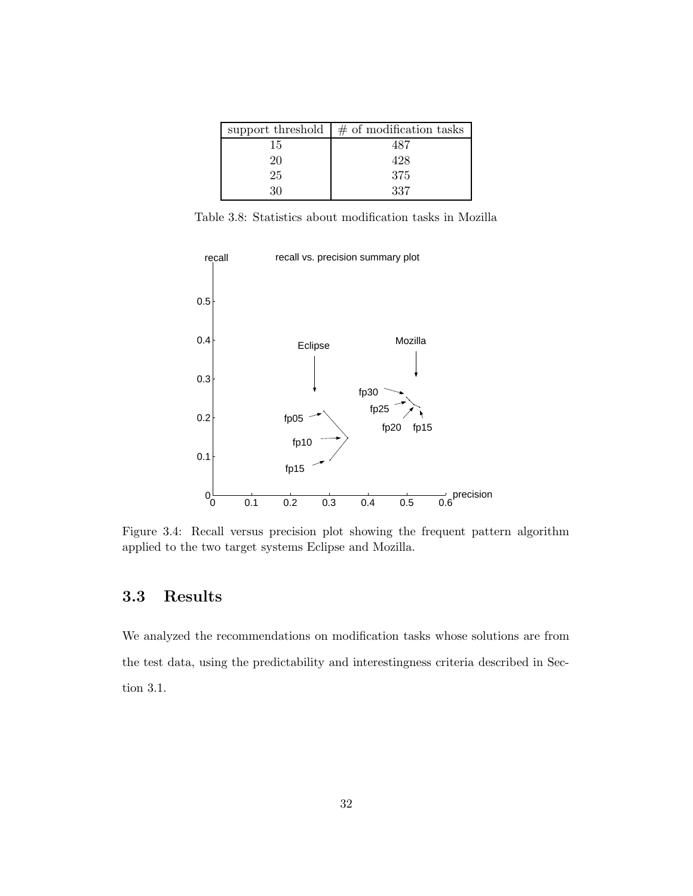|    | support threshold $\frac{1}{2}$ of modification tasks |
|----|-------------------------------------------------------|
| 15 | 487                                                   |
| 20 | 428                                                   |
| 25 | 375                                                   |
| 30 | 337                                                   |

Table 3.8: Statistics about modification tasks in Mozilla



Figure 3.4: Recall versus precision plot showing the frequent pattern algorithm applied to the two target systems Eclipse and Mozilla.

#### 3.3 Results

We analyzed the recommendations on modification tasks whose solutions are from the test data, using the predictability and interestingness criteria described in Section 3.1.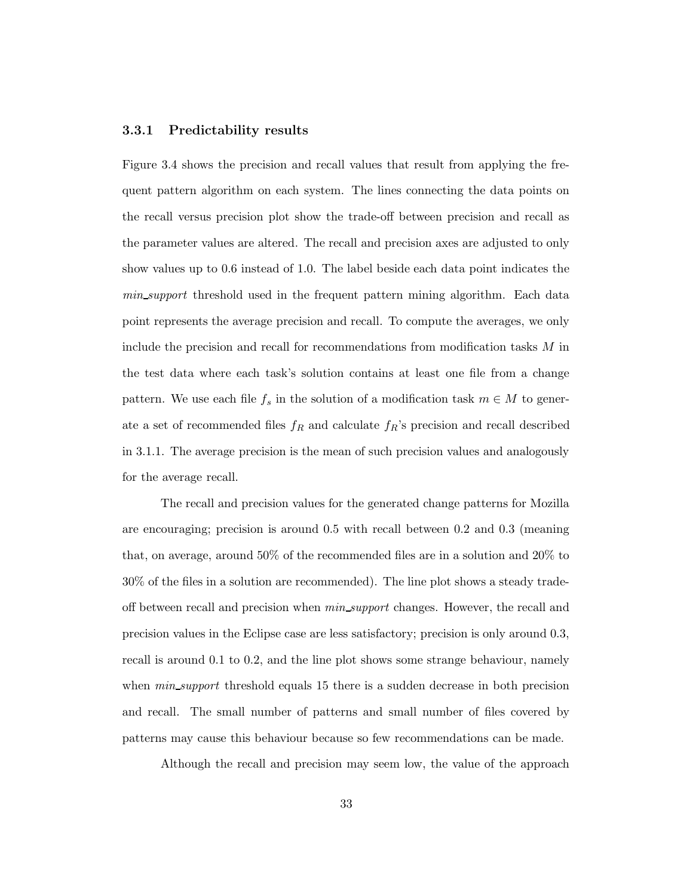#### 3.3.1 Predictability results

Figure 3.4 shows the precision and recall values that result from applying the frequent pattern algorithm on each system. The lines connecting the data points on the recall versus precision plot show the trade-off between precision and recall as the parameter values are altered. The recall and precision axes are adjusted to only show values up to 0.6 instead of 1.0. The label beside each data point indicates the min support threshold used in the frequent pattern mining algorithm. Each data point represents the average precision and recall. To compute the averages, we only include the precision and recall for recommendations from modification tasks M in the test data where each task's solution contains at least one file from a change pattern. We use each file  $f_s$  in the solution of a modification task  $m \in M$  to generate a set of recommended files  $f_R$  and calculate  $f_R$ 's precision and recall described in 3.1.1. The average precision is the mean of such precision values and analogously for the average recall.

The recall and precision values for the generated change patterns for Mozilla are encouraging; precision is around 0.5 with recall between 0.2 and 0.3 (meaning that, on average, around 50% of the recommended files are in a solution and 20% to 30% of the files in a solution are recommended). The line plot shows a steady tradeoff between recall and precision when  $min\_support$  changes. However, the recall and precision values in the Eclipse case are less satisfactory; precision is only around 0.3, recall is around 0.1 to 0.2, and the line plot shows some strange behaviour, namely when  $min\_support$  threshold equals 15 there is a sudden decrease in both precision and recall. The small number of patterns and small number of files covered by patterns may cause this behaviour because so few recommendations can be made.

Although the recall and precision may seem low, the value of the approach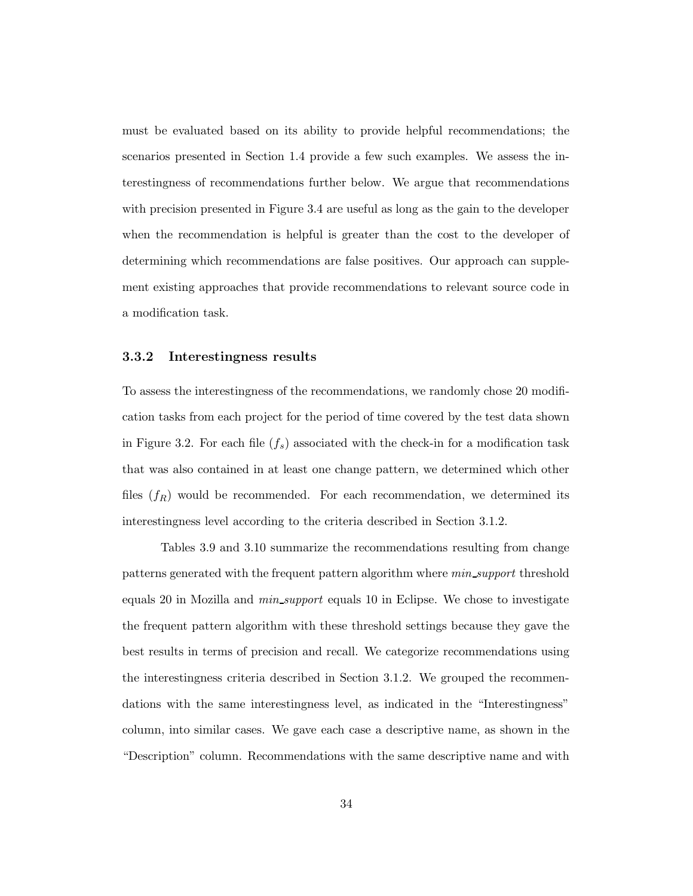must be evaluated based on its ability to provide helpful recommendations; the scenarios presented in Section 1.4 provide a few such examples. We assess the interestingness of recommendations further below. We argue that recommendations with precision presented in Figure 3.4 are useful as long as the gain to the developer when the recommendation is helpful is greater than the cost to the developer of determining which recommendations are false positives. Our approach can supplement existing approaches that provide recommendations to relevant source code in a modification task.

#### 3.3.2 Interestingness results

To assess the interestingness of the recommendations, we randomly chose 20 modification tasks from each project for the period of time covered by the test data shown in Figure 3.2. For each file  $(f_s)$  associated with the check-in for a modification task that was also contained in at least one change pattern, we determined which other files  $(f_R)$  would be recommended. For each recommendation, we determined its interestingness level according to the criteria described in Section 3.1.2.

Tables 3.9 and 3.10 summarize the recommendations resulting from change patterns generated with the frequent pattern algorithm where min support threshold equals 20 in Mozilla and *min\_support* equals 10 in Eclipse. We chose to investigate the frequent pattern algorithm with these threshold settings because they gave the best results in terms of precision and recall. We categorize recommendations using the interestingness criteria described in Section 3.1.2. We grouped the recommendations with the same interestingness level, as indicated in the "Interestingness" column, into similar cases. We gave each case a descriptive name, as shown in the "Description" column. Recommendations with the same descriptive name and with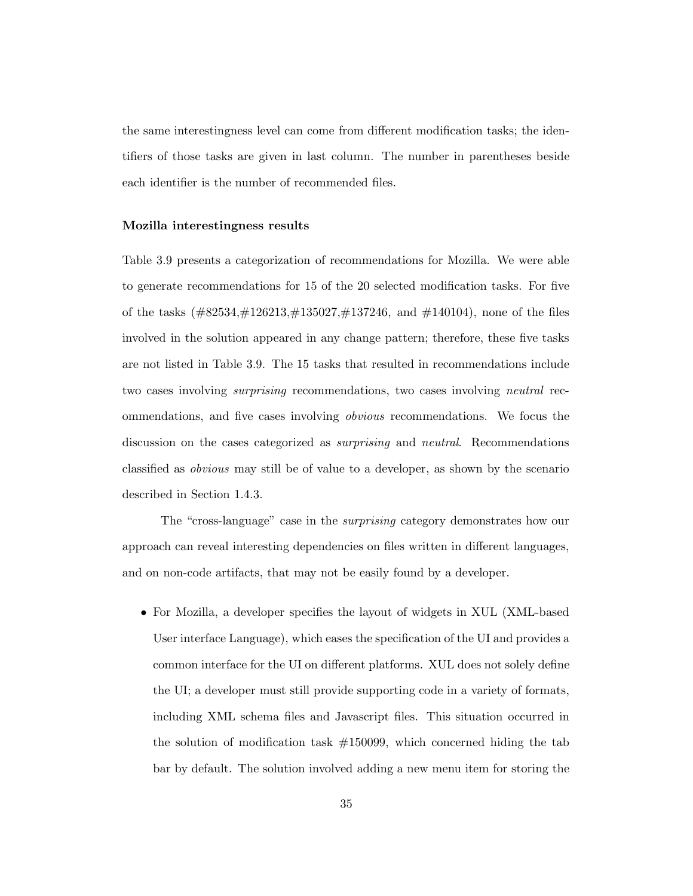the same interestingness level can come from different modification tasks; the identifiers of those tasks are given in last column. The number in parentheses beside each identifier is the number of recommended files.

#### Mozilla interestingness results

Table 3.9 presents a categorization of recommendations for Mozilla. We were able to generate recommendations for 15 of the 20 selected modification tasks. For five of the tasks  $(\#82534,\#126213,\#135027,\#137246,$  and  $\#140104$ ), none of the files involved in the solution appeared in any change pattern; therefore, these five tasks are not listed in Table 3.9. The 15 tasks that resulted in recommendations include two cases involving *surprising* recommendations, two cases involving *neutral* recommendations, and five cases involving obvious recommendations. We focus the discussion on the cases categorized as *surprising* and *neutral*. Recommendations classified as obvious may still be of value to a developer, as shown by the scenario described in Section 1.4.3.

The "cross-language" case in the surprising category demonstrates how our approach can reveal interesting dependencies on files written in different languages, and on non-code artifacts, that may not be easily found by a developer.

• For Mozilla, a developer specifies the layout of widgets in XUL (XML-based User interface Language), which eases the specification of the UI and provides a common interface for the UI on different platforms. XUL does not solely define the UI; a developer must still provide supporting code in a variety of formats, including XML schema files and Javascript files. This situation occurred in the solution of modification task  $\#150099$ , which concerned hiding the tab bar by default. The solution involved adding a new menu item for storing the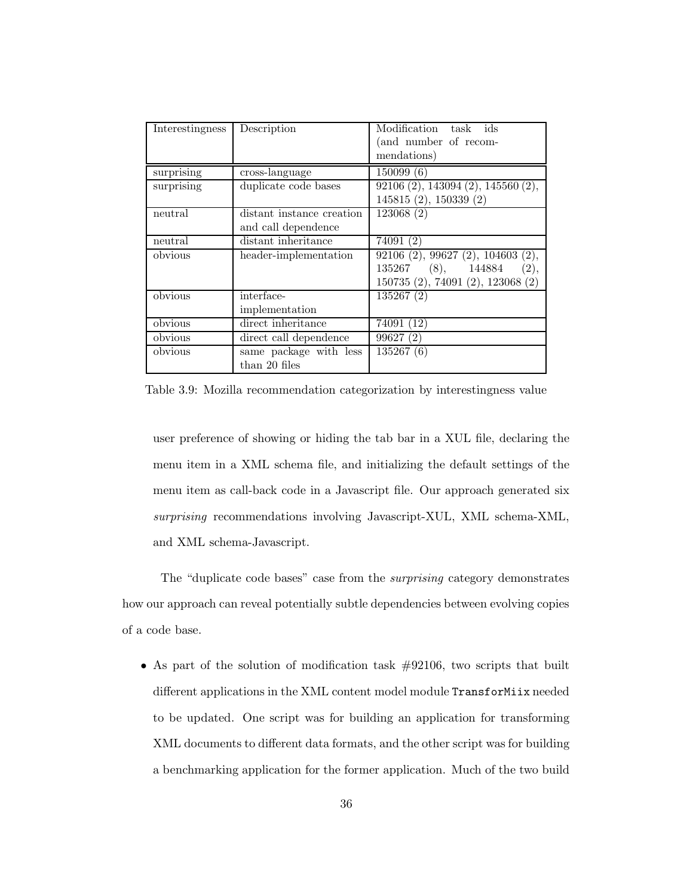| Interestingness | Description               | Modification task ids                      |
|-----------------|---------------------------|--------------------------------------------|
|                 |                           | (and number of recom-                      |
|                 |                           | mendations)                                |
| surprising      | cross-language            | 150099(6)                                  |
| surprising      | duplicate code bases      | $92106(2)$ , 143094 $(2)$ , 145560 $(2)$ , |
|                 |                           | 145815(2), 150339(2)                       |
| neutral         | distant instance creation | 123068(2)                                  |
|                 | and call dependence       |                                            |
| neutral         | distant inheritance       | 74091(2)                                   |
| obvious         | header-implementation     | $92106$ (2), $99627$ (2), $104603$ (2),    |
|                 |                           | 135267 (8), 144884<br>(2),                 |
|                 |                           | 150735 (2), 74091 (2), 123068 (2)          |
| obvious         | interface-                | 135267(2)                                  |
|                 | implementation            |                                            |
| obvious         | direct inheritance        | 74091 (12)                                 |
| obvious         | direct call dependence    | 99627(2)                                   |
| obvious         | same package with less    | 135267(6)                                  |
|                 | than 20 files             |                                            |

Table 3.9: Mozilla recommendation categorization by interestingness value

user preference of showing or hiding the tab bar in a XUL file, declaring the menu item in a XML schema file, and initializing the default settings of the menu item as call-back code in a Javascript file. Our approach generated six surprising recommendations involving Javascript-XUL, XML schema-XML, and XML schema-Javascript.

The "duplicate code bases" case from the surprising category demonstrates how our approach can reveal potentially subtle dependencies between evolving copies of a code base.

• As part of the solution of modification task  $#92106$ , two scripts that built different applications in the XML content model module TransforMiix needed to be updated. One script was for building an application for transforming XML documents to different data formats, and the other script was for building a benchmarking application for the former application. Much of the two build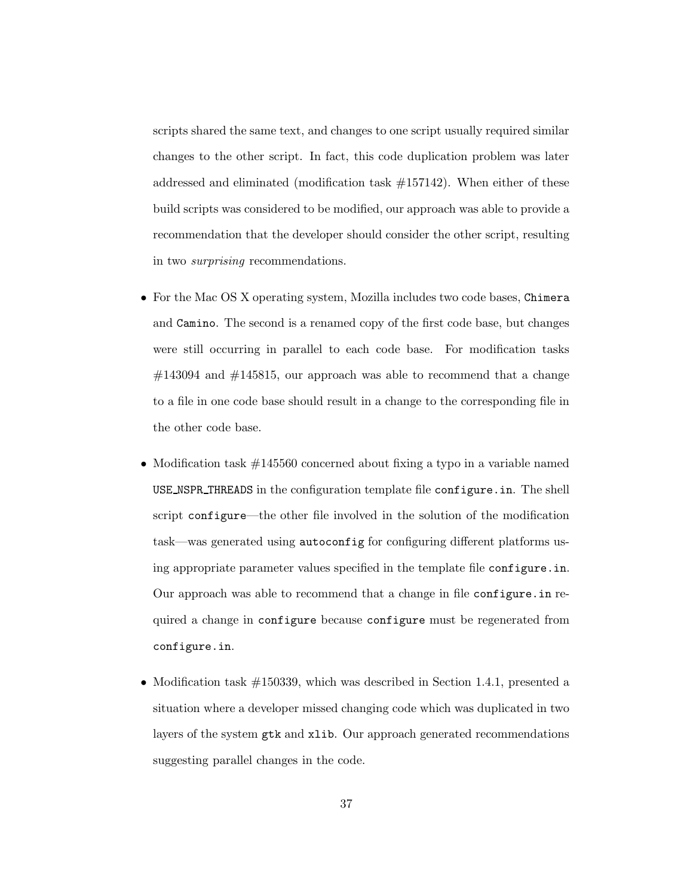scripts shared the same text, and changes to one script usually required similar changes to the other script. In fact, this code duplication problem was later addressed and eliminated (modification task  $\#157142$ ). When either of these build scripts was considered to be modified, our approach was able to provide a recommendation that the developer should consider the other script, resulting in two surprising recommendations.

- For the Mac OS X operating system, Mozilla includes two code bases, Chimera and Camino. The second is a renamed copy of the first code base, but changes were still occurring in parallel to each code base. For modification tasks  $\#143094$  and  $\#145815$ , our approach was able to recommend that a change to a file in one code base should result in a change to the corresponding file in the other code base.
- Modification task  $\#145560$  concerned about fixing a typo in a variable named USE NSPR THREADS in the configuration template file configure.in. The shell script configure—the other file involved in the solution of the modification task—was generated using autoconfig for configuring different platforms using appropriate parameter values specified in the template file configure.in. Our approach was able to recommend that a change in file configure.in required a change in configure because configure must be regenerated from configure.in.
- Modification task  $\#150339$ , which was described in Section 1.4.1, presented a situation where a developer missed changing code which was duplicated in two layers of the system gtk and xlib. Our approach generated recommendations suggesting parallel changes in the code.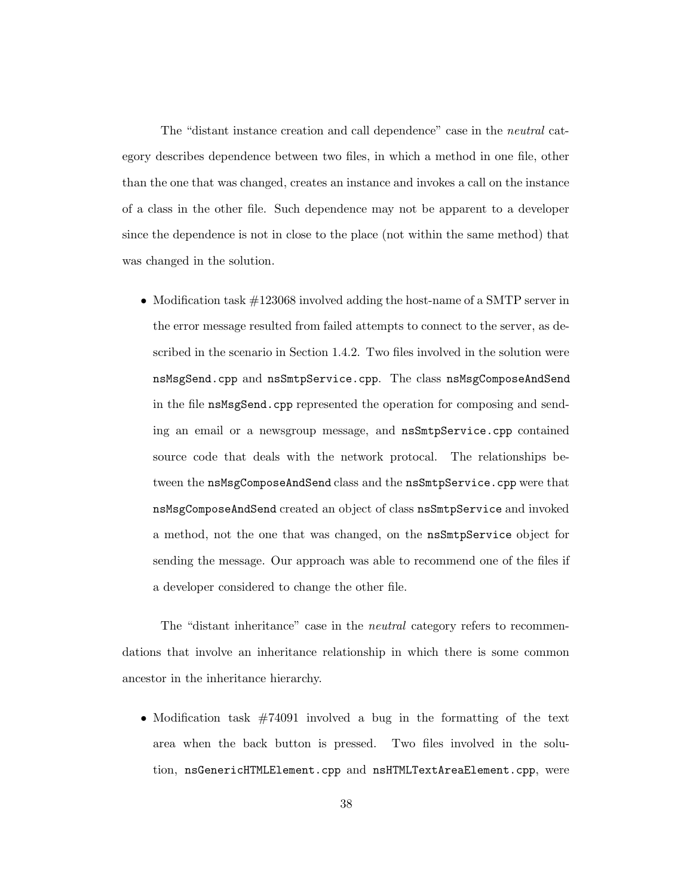The "distant instance creation and call dependence" case in the neutral category describes dependence between two files, in which a method in one file, other than the one that was changed, creates an instance and invokes a call on the instance of a class in the other file. Such dependence may not be apparent to a developer since the dependence is not in close to the place (not within the same method) that was changed in the solution.

• Modification task  $\#123068$  involved adding the host-name of a SMTP server in the error message resulted from failed attempts to connect to the server, as described in the scenario in Section 1.4.2. Two files involved in the solution were nsMsgSend.cpp and nsSmtpService.cpp. The class nsMsgComposeAndSend in the file nsMsgSend.cpp represented the operation for composing and sending an email or a newsgroup message, and nsSmtpService.cpp contained source code that deals with the network protocal. The relationships between the nsMsgComposeAndSend class and the nsSmtpService.cpp were that nsMsgComposeAndSend created an object of class nsSmtpService and invoked a method, not the one that was changed, on the nsSmtpService object for sending the message. Our approach was able to recommend one of the files if a developer considered to change the other file.

The "distant inheritance" case in the *neutral* category refers to recommendations that involve an inheritance relationship in which there is some common ancestor in the inheritance hierarchy.

• Modification task #74091 involved a bug in the formatting of the text area when the back button is pressed. Two files involved in the solution, nsGenericHTMLElement.cpp and nsHTMLTextAreaElement.cpp, were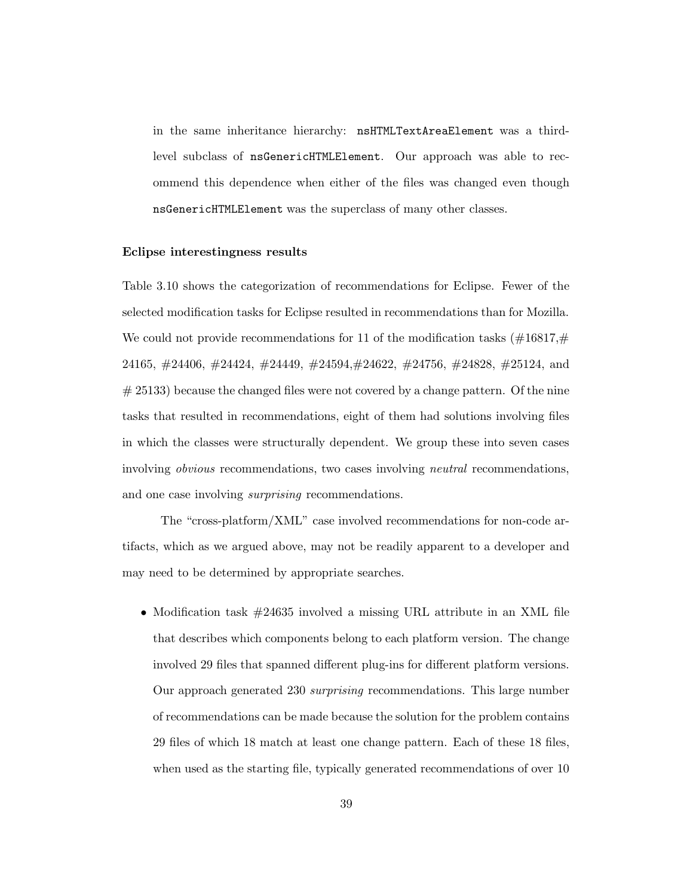in the same inheritance hierarchy: nsHTMLTextAreaElement was a thirdlevel subclass of nsGenericHTMLElement. Our approach was able to recommend this dependence when either of the files was changed even though nsGenericHTMLElement was the superclass of many other classes.

#### Eclipse interestingness results

Table 3.10 shows the categorization of recommendations for Eclipse. Fewer of the selected modification tasks for Eclipse resulted in recommendations than for Mozilla. We could not provide recommendations for 11 of the modification tasks  $(\#16817, \#$ 24165, #24406, #24424, #24449, #24594,#24622, #24756, #24828, #25124, and  $# 25133$  because the changed files were not covered by a change pattern. Of the nine tasks that resulted in recommendations, eight of them had solutions involving files in which the classes were structurally dependent. We group these into seven cases involving obvious recommendations, two cases involving neutral recommendations, and one case involving *surprising* recommendations.

The "cross-platform/XML" case involved recommendations for non-code artifacts, which as we argued above, may not be readily apparent to a developer and may need to be determined by appropriate searches.

• Modification task  $\#24635$  involved a missing URL attribute in an XML file that describes which components belong to each platform version. The change involved 29 files that spanned different plug-ins for different platform versions. Our approach generated 230 surprising recommendations. This large number of recommendations can be made because the solution for the problem contains 29 files of which 18 match at least one change pattern. Each of these 18 files, when used as the starting file, typically generated recommendations of over 10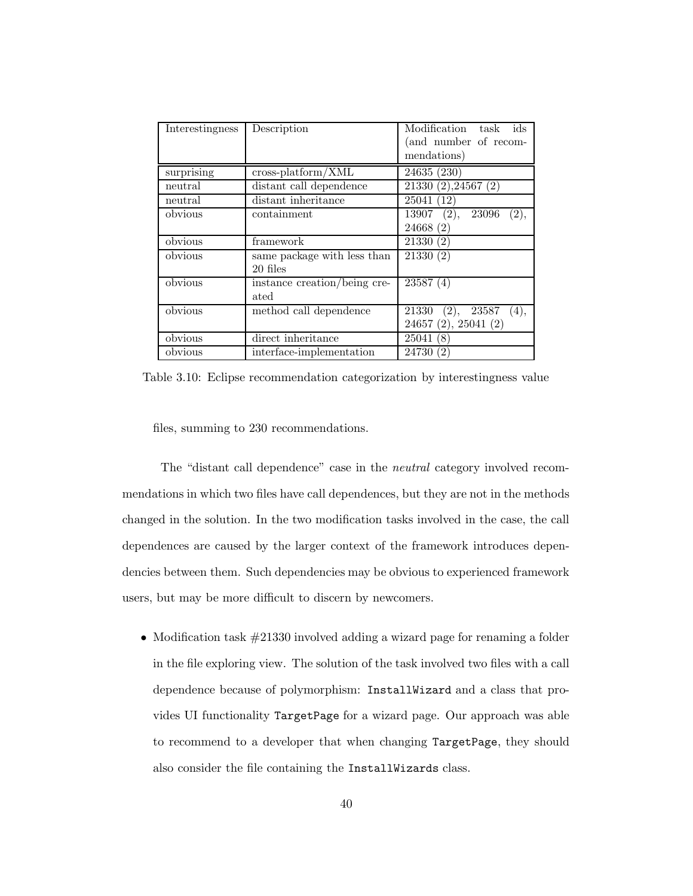| <b>Interestingness</b> | Description                      | Modification task ids<br>(and number of recom-<br>mendations) |
|------------------------|----------------------------------|---------------------------------------------------------------|
| surprising             | $\frac{1}{2}$ cross-platform/XML | 24635 (230)                                                   |
| neutral                | distant call dependence          | $21330(2)$ , 24567 $(2)$                                      |
| neutral                | distant inheritance              | 25041 (12)                                                    |
| obvious                | containment                      | $13907$ (2),<br>23096<br>(2),                                 |
|                        |                                  | 24668(2)                                                      |
| obvious                | framework                        | 21330(2)                                                      |
| obvious                | same package with less than      | 21330(2)                                                      |
|                        | 20 files                         |                                                               |
| obvious                | instance creation/being cre-     | 23587(4)                                                      |
|                        | ated                             |                                                               |
| obvious                | method call dependence           | $21330$ (2), $23587$ (4),                                     |
|                        |                                  | 24657 (2), 25041 (2)                                          |
| obvious                | direct inheritance               | 25041(8)                                                      |
| obvious                | interface-implementation         | 24730 (2)                                                     |

Table 3.10: Eclipse recommendation categorization by interestingness value

files, summing to 230 recommendations.

The "distant call dependence" case in the neutral category involved recommendations in which two files have call dependences, but they are not in the methods changed in the solution. In the two modification tasks involved in the case, the call dependences are caused by the larger context of the framework introduces dependencies between them. Such dependencies may be obvious to experienced framework users, but may be more difficult to discern by newcomers.

• Modification task  $\#21330$  involved adding a wizard page for renaming a folder in the file exploring view. The solution of the task involved two files with a call dependence because of polymorphism: InstallWizard and a class that provides UI functionality TargetPage for a wizard page. Our approach was able to recommend to a developer that when changing TargetPage, they should also consider the file containing the InstallWizards class.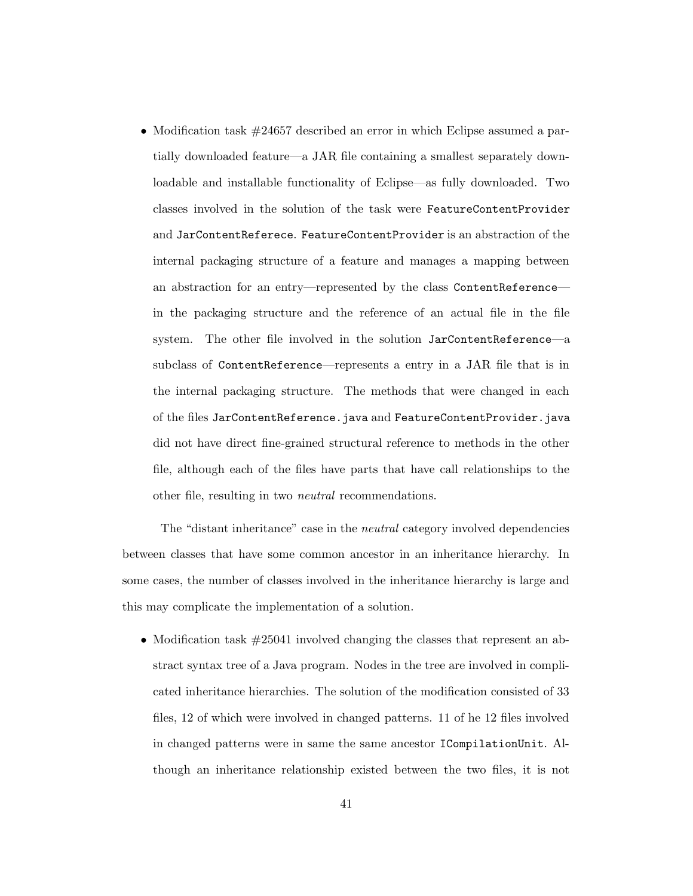• Modification task  $\#24657$  described an error in which Eclipse assumed a partially downloaded feature—a JAR file containing a smallest separately downloadable and installable functionality of Eclipse—as fully downloaded. Two classes involved in the solution of the task were FeatureContentProvider and JarContentReferece. FeatureContentProvider is an abstraction of the internal packaging structure of a feature and manages a mapping between an abstraction for an entry—represented by the class ContentReference in the packaging structure and the reference of an actual file in the file system. The other file involved in the solution JarContentReference—a subclass of ContentReference—represents a entry in a JAR file that is in the internal packaging structure. The methods that were changed in each of the files JarContentReference.java and FeatureContentProvider.java did not have direct fine-grained structural reference to methods in the other file, although each of the files have parts that have call relationships to the other file, resulting in two neutral recommendations.

The "distant inheritance" case in the neutral category involved dependencies between classes that have some common ancestor in an inheritance hierarchy. In some cases, the number of classes involved in the inheritance hierarchy is large and this may complicate the implementation of a solution.

• Modification task  $\#25041$  involved changing the classes that represent an abstract syntax tree of a Java program. Nodes in the tree are involved in complicated inheritance hierarchies. The solution of the modification consisted of 33 files, 12 of which were involved in changed patterns. 11 of he 12 files involved in changed patterns were in same the same ancestor ICompilationUnit. Although an inheritance relationship existed between the two files, it is not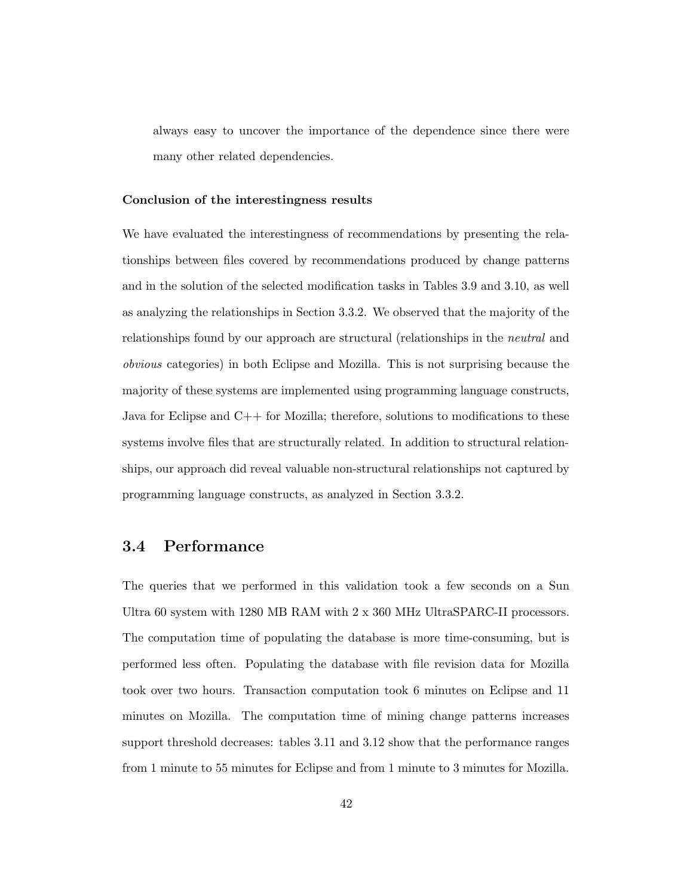always easy to uncover the importance of the dependence since there were many other related dependencies.

#### Conclusion of the interestingness results

We have evaluated the interestingness of recommendations by presenting the relationships between files covered by recommendations produced by change patterns and in the solution of the selected modification tasks in Tables 3.9 and 3.10, as well as analyzing the relationships in Section 3.3.2. We observed that the majority of the relationships found by our approach are structural (relationships in the neutral and obvious categories) in both Eclipse and Mozilla. This is not surprising because the majority of these systems are implemented using programming language constructs, Java for Eclipse and  $C++$  for Mozilla; therefore, solutions to modifications to these systems involve files that are structurally related. In addition to structural relationships, our approach did reveal valuable non-structural relationships not captured by programming language constructs, as analyzed in Section 3.3.2.

#### 3.4 Performance

The queries that we performed in this validation took a few seconds on a Sun Ultra 60 system with 1280 MB RAM with 2 x 360 MHz UltraSPARC-II processors. The computation time of populating the database is more time-consuming, but is performed less often. Populating the database with file revision data for Mozilla took over two hours. Transaction computation took 6 minutes on Eclipse and 11 minutes on Mozilla. The computation time of mining change patterns increases support threshold decreases: tables 3.11 and 3.12 show that the performance ranges from 1 minute to 55 minutes for Eclipse and from 1 minute to 3 minutes for Mozilla.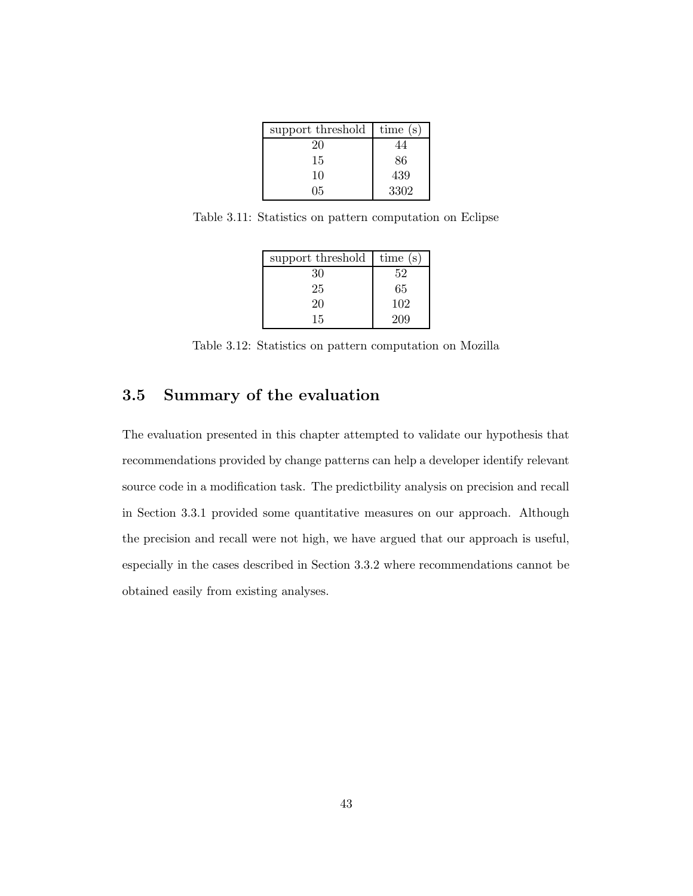| support threshold | time $(s)$ |
|-------------------|------------|
| 20                | 44         |
| 15                | 86         |
| 10                | 439        |
| 05                | 3302       |

Table 3.11: Statistics on pattern computation on Eclipse

| support threshold | time $(s)$ |
|-------------------|------------|
| 30                | 52         |
| 25                | 65         |
| 20                | 102        |
| 15                | 209        |

Table 3.12: Statistics on pattern computation on Mozilla

#### 3.5 Summary of the evaluation

The evaluation presented in this chapter attempted to validate our hypothesis that recommendations provided by change patterns can help a developer identify relevant source code in a modification task. The predictbility analysis on precision and recall in Section 3.3.1 provided some quantitative measures on our approach. Although the precision and recall were not high, we have argued that our approach is useful, especially in the cases described in Section 3.3.2 where recommendations cannot be obtained easily from existing analyses.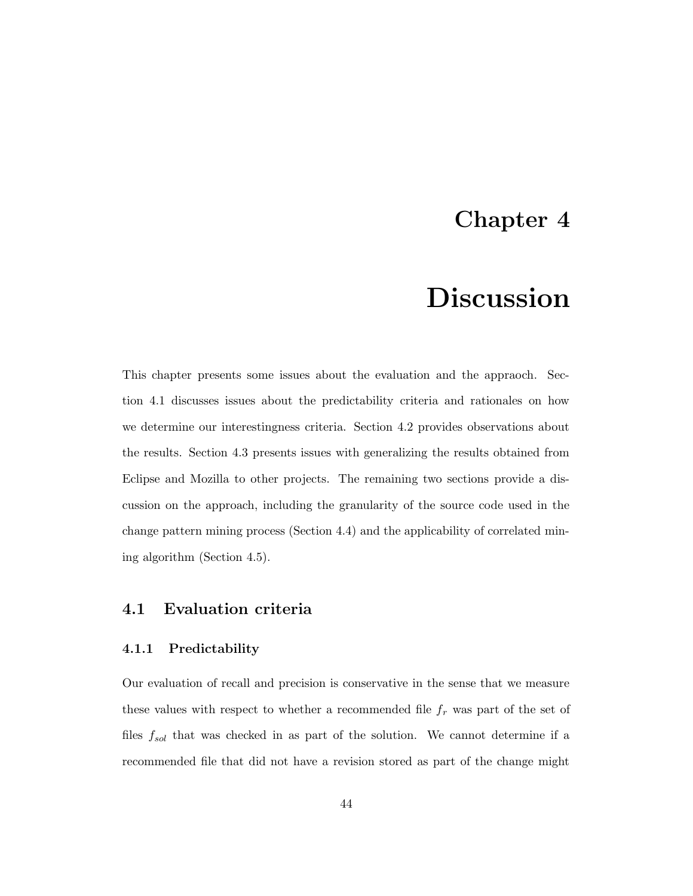### Chapter 4

# Discussion

This chapter presents some issues about the evaluation and the appraoch. Section 4.1 discusses issues about the predictability criteria and rationales on how we determine our interestingness criteria. Section 4.2 provides observations about the results. Section 4.3 presents issues with generalizing the results obtained from Eclipse and Mozilla to other projects. The remaining two sections provide a discussion on the approach, including the granularity of the source code used in the change pattern mining process (Section 4.4) and the applicability of correlated mining algorithm (Section 4.5).

#### 4.1 Evaluation criteria

#### 4.1.1 Predictability

Our evaluation of recall and precision is conservative in the sense that we measure these values with respect to whether a recommended file  $f_r$  was part of the set of files  $f_{sol}$  that was checked in as part of the solution. We cannot determine if a recommended file that did not have a revision stored as part of the change might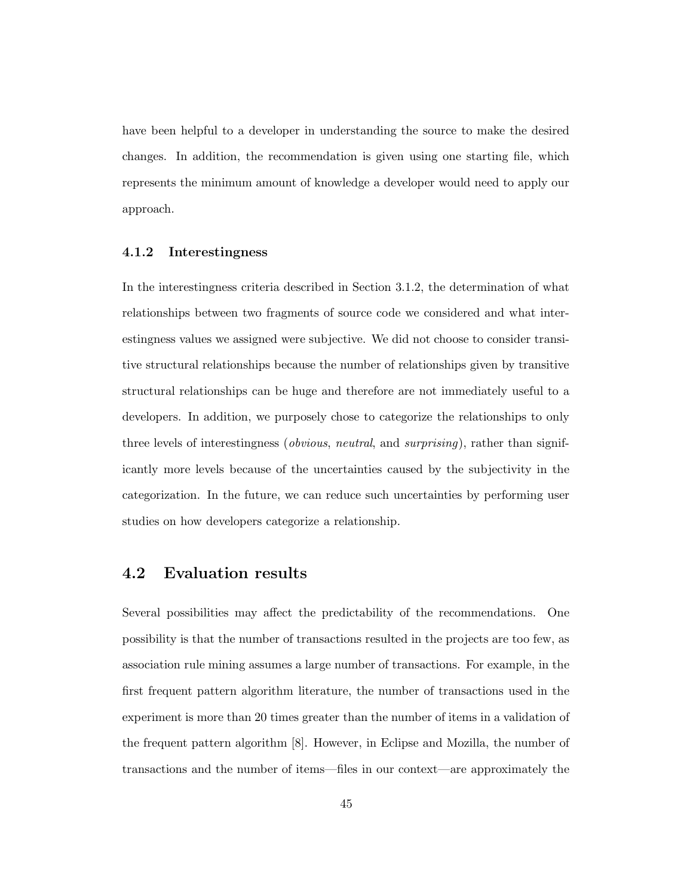have been helpful to a developer in understanding the source to make the desired changes. In addition, the recommendation is given using one starting file, which represents the minimum amount of knowledge a developer would need to apply our approach.

#### 4.1.2 Interestingness

In the interestingness criteria described in Section 3.1.2, the determination of what relationships between two fragments of source code we considered and what interestingness values we assigned were subjective. We did not choose to consider transitive structural relationships because the number of relationships given by transitive structural relationships can be huge and therefore are not immediately useful to a developers. In addition, we purposely chose to categorize the relationships to only three levels of interestingness (*obvious, neutral,* and *surprising*), rather than significantly more levels because of the uncertainties caused by the subjectivity in the categorization. In the future, we can reduce such uncertainties by performing user studies on how developers categorize a relationship.

#### 4.2 Evaluation results

Several possibilities may affect the predictability of the recommendations. One possibility is that the number of transactions resulted in the projects are too few, as association rule mining assumes a large number of transactions. For example, in the first frequent pattern algorithm literature, the number of transactions used in the experiment is more than 20 times greater than the number of items in a validation of the frequent pattern algorithm [8]. However, in Eclipse and Mozilla, the number of transactions and the number of items—files in our context—are approximately the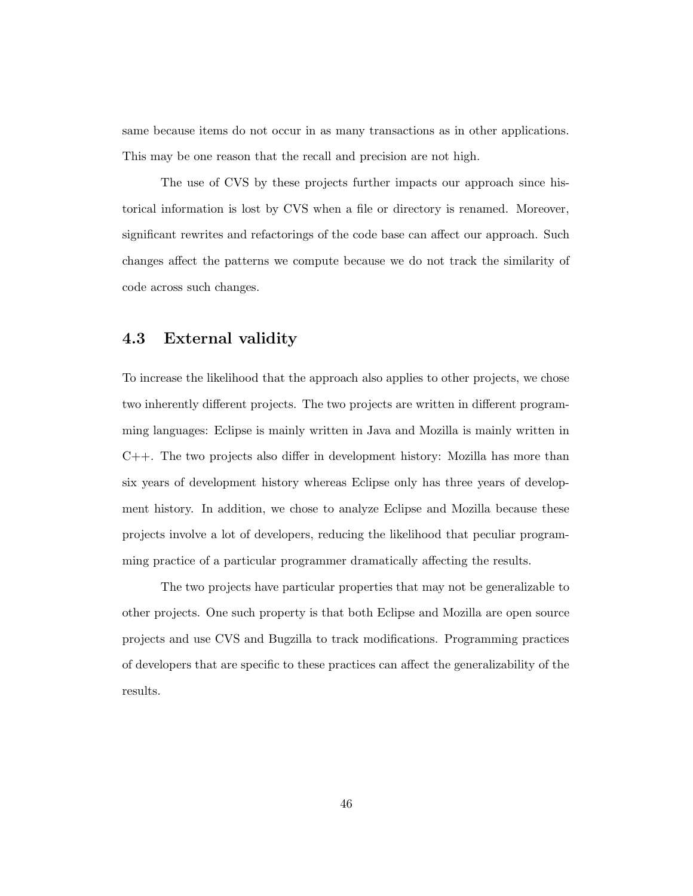same because items do not occur in as many transactions as in other applications. This may be one reason that the recall and precision are not high.

The use of CVS by these projects further impacts our approach since historical information is lost by CVS when a file or directory is renamed. Moreover, significant rewrites and refactorings of the code base can affect our approach. Such changes affect the patterns we compute because we do not track the similarity of code across such changes.

#### 4.3 External validity

To increase the likelihood that the approach also applies to other projects, we chose two inherently different projects. The two projects are written in different programming languages: Eclipse is mainly written in Java and Mozilla is mainly written in C++. The two projects also differ in development history: Mozilla has more than six years of development history whereas Eclipse only has three years of development history. In addition, we chose to analyze Eclipse and Mozilla because these projects involve a lot of developers, reducing the likelihood that peculiar programming practice of a particular programmer dramatically affecting the results.

The two projects have particular properties that may not be generalizable to other projects. One such property is that both Eclipse and Mozilla are open source projects and use CVS and Bugzilla to track modifications. Programming practices of developers that are specific to these practices can affect the generalizability of the results.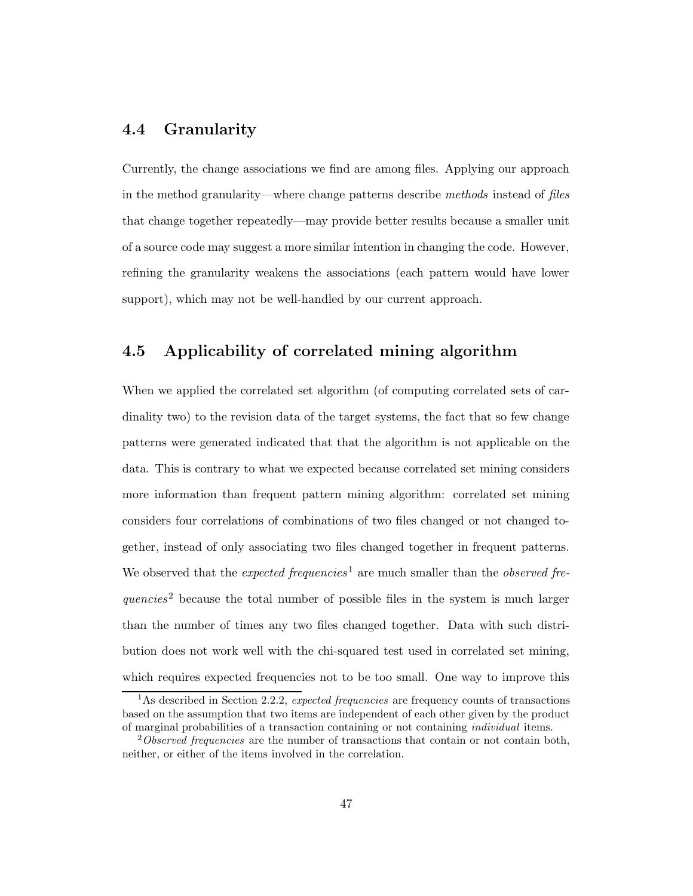#### 4.4 Granularity

Currently, the change associations we find are among files. Applying our approach in the method granularity—where change patterns describe methods instead of files that change together repeatedly—may provide better results because a smaller unit of a source code may suggest a more similar intention in changing the code. However, refining the granularity weakens the associations (each pattern would have lower support), which may not be well-handled by our current approach.

#### 4.5 Applicability of correlated mining algorithm

When we applied the correlated set algorithm (of computing correlated sets of cardinality two) to the revision data of the target systems, the fact that so few change patterns were generated indicated that that the algorithm is not applicable on the data. This is contrary to what we expected because correlated set mining considers more information than frequent pattern mining algorithm: correlated set mining considers four correlations of combinations of two files changed or not changed together, instead of only associating two files changed together in frequent patterns. We observed that the *expected frequencies*<sup>1</sup> are much smaller than the *observed fre*quencies<sup>2</sup> because the total number of possible files in the system is much larger than the number of times any two files changed together. Data with such distribution does not work well with the chi-squared test used in correlated set mining, which requires expected frequencies not to be too small. One way to improve this

<sup>&</sup>lt;sup>1</sup>As described in Section 2.2.2, expected frequencies are frequency counts of transactions based on the assumption that two items are independent of each other given by the product of marginal probabilities of a transaction containing or not containing individual items.

<sup>&</sup>lt;sup>2</sup>Observed frequencies are the number of transactions that contain or not contain both, neither, or either of the items involved in the correlation.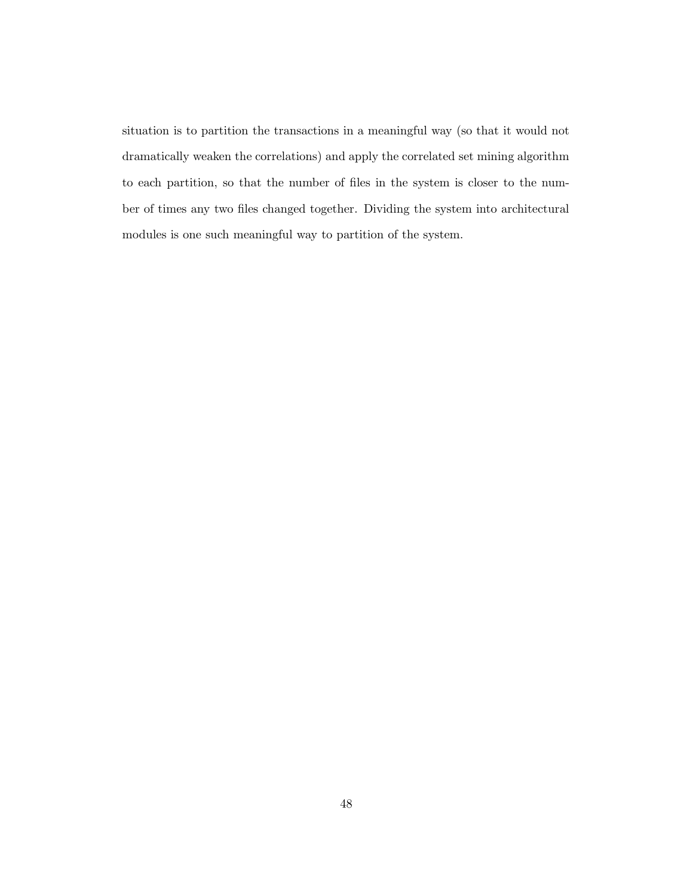situation is to partition the transactions in a meaningful way (so that it would not dramatically weaken the correlations) and apply the correlated set mining algorithm to each partition, so that the number of files in the system is closer to the number of times any two files changed together. Dividing the system into architectural modules is one such meaningful way to partition of the system.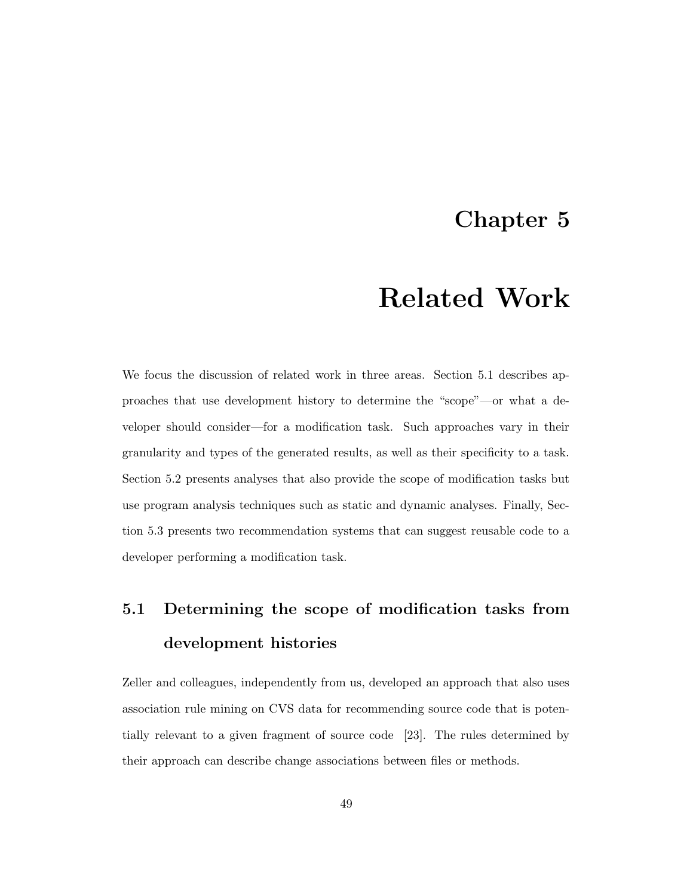### Chapter 5

## Related Work

We focus the discussion of related work in three areas. Section 5.1 describes approaches that use development history to determine the "scope"—or what a developer should consider—for a modification task. Such approaches vary in their granularity and types of the generated results, as well as their specificity to a task. Section 5.2 presents analyses that also provide the scope of modification tasks but use program analysis techniques such as static and dynamic analyses. Finally, Section 5.3 presents two recommendation systems that can suggest reusable code to a developer performing a modification task.

### 5.1 Determining the scope of modification tasks from development histories

Zeller and colleagues, independently from us, developed an approach that also uses association rule mining on CVS data for recommending source code that is potentially relevant to a given fragment of source code [23]. The rules determined by their approach can describe change associations between files or methods.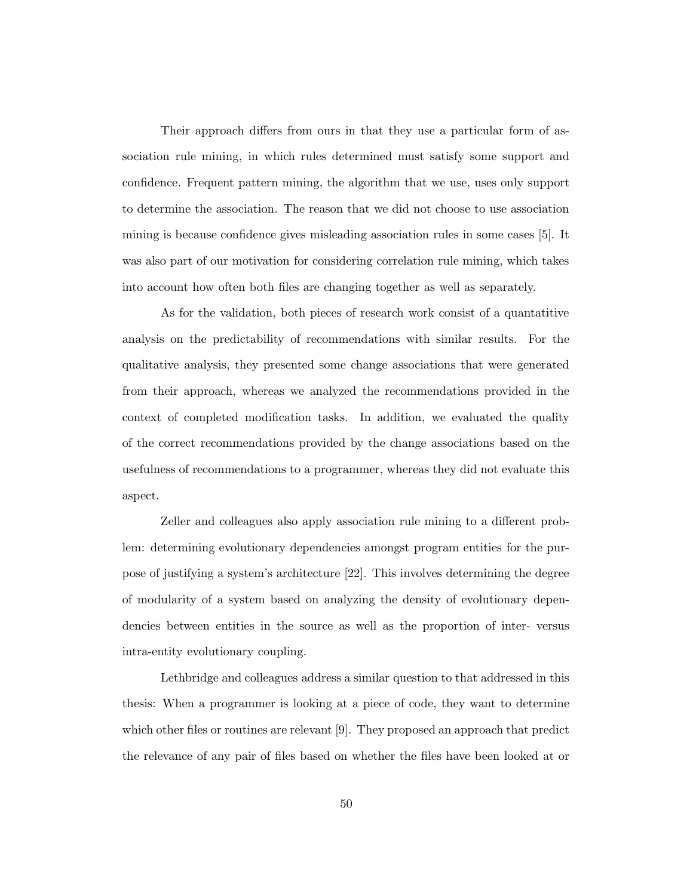Their approach differs from ours in that they use a particular form of association rule mining, in which rules determined must satisfy some support and confidence. Frequent pattern mining, the algorithm that we use, uses only support to determine the association. The reason that we did not choose to use association mining is because confidence gives misleading association rules in some cases [5]. It was also part of our motivation for considering correlation rule mining, which takes into account how often both files are changing together as well as separately.

As for the validation, both pieces of research work consist of a quantatitive analysis on the predictability of recommendations with similar results. For the qualitative analysis, they presented some change associations that were generated from their approach, whereas we analyzed the recommendations provided in the context of completed modification tasks. In addition, we evaluated the quality of the correct recommendations provided by the change associations based on the usefulness of recommendations to a programmer, whereas they did not evaluate this aspect.

Zeller and colleagues also apply association rule mining to a different problem: determining evolutionary dependencies amongst program entities for the purpose of justifying a system's architecture [22]. This involves determining the degree of modularity of a system based on analyzing the density of evolutionary dependencies between entities in the source as well as the proportion of inter- versus intra-entity evolutionary coupling.

Lethbridge and colleagues address a similar question to that addressed in this thesis: When a programmer is looking at a piece of code, they want to determine which other files or routines are relevant [9]. They proposed an approach that predict the relevance of any pair of files based on whether the files have been looked at or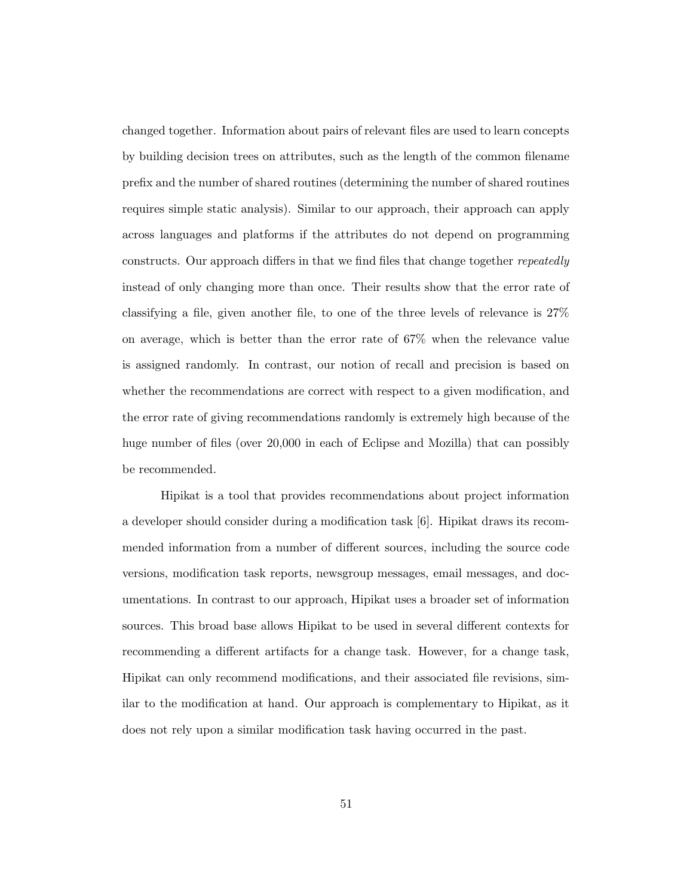changed together. Information about pairs of relevant files are used to learn concepts by building decision trees on attributes, such as the length of the common filename prefix and the number of shared routines (determining the number of shared routines requires simple static analysis). Similar to our approach, their approach can apply across languages and platforms if the attributes do not depend on programming constructs. Our approach differs in that we find files that change together repeatedly instead of only changing more than once. Their results show that the error rate of classifying a file, given another file, to one of the three levels of relevance is 27% on average, which is better than the error rate of 67% when the relevance value is assigned randomly. In contrast, our notion of recall and precision is based on whether the recommendations are correct with respect to a given modification, and the error rate of giving recommendations randomly is extremely high because of the huge number of files (over 20,000 in each of Eclipse and Mozilla) that can possibly be recommended.

Hipikat is a tool that provides recommendations about project information a developer should consider during a modification task [6]. Hipikat draws its recommended information from a number of different sources, including the source code versions, modification task reports, newsgroup messages, email messages, and documentations. In contrast to our approach, Hipikat uses a broader set of information sources. This broad base allows Hipikat to be used in several different contexts for recommending a different artifacts for a change task. However, for a change task, Hipikat can only recommend modifications, and their associated file revisions, similar to the modification at hand. Our approach is complementary to Hipikat, as it does not rely upon a similar modification task having occurred in the past.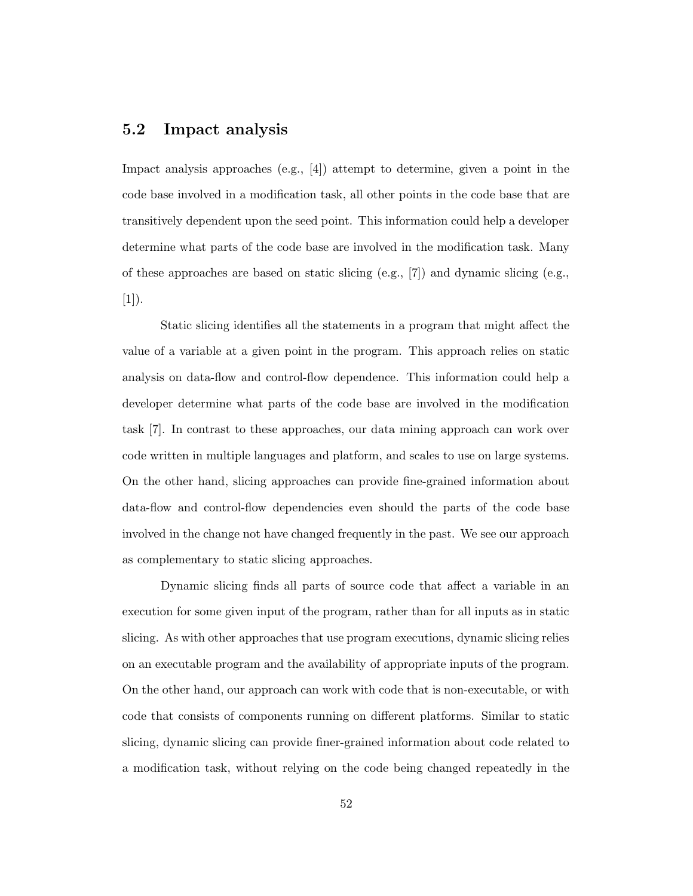#### 5.2 Impact analysis

Impact analysis approaches (e.g., [4]) attempt to determine, given a point in the code base involved in a modification task, all other points in the code base that are transitively dependent upon the seed point. This information could help a developer determine what parts of the code base are involved in the modification task. Many of these approaches are based on static slicing  $(e.g., [7])$  and dynamic slicing  $(e.g.,$  $[1]$ .

Static slicing identifies all the statements in a program that might affect the value of a variable at a given point in the program. This approach relies on static analysis on data-flow and control-flow dependence. This information could help a developer determine what parts of the code base are involved in the modification task [7]. In contrast to these approaches, our data mining approach can work over code written in multiple languages and platform, and scales to use on large systems. On the other hand, slicing approaches can provide fine-grained information about data-flow and control-flow dependencies even should the parts of the code base involved in the change not have changed frequently in the past. We see our approach as complementary to static slicing approaches.

Dynamic slicing finds all parts of source code that affect a variable in an execution for some given input of the program, rather than for all inputs as in static slicing. As with other approaches that use program executions, dynamic slicing relies on an executable program and the availability of appropriate inputs of the program. On the other hand, our approach can work with code that is non-executable, or with code that consists of components running on different platforms. Similar to static slicing, dynamic slicing can provide finer-grained information about code related to a modification task, without relying on the code being changed repeatedly in the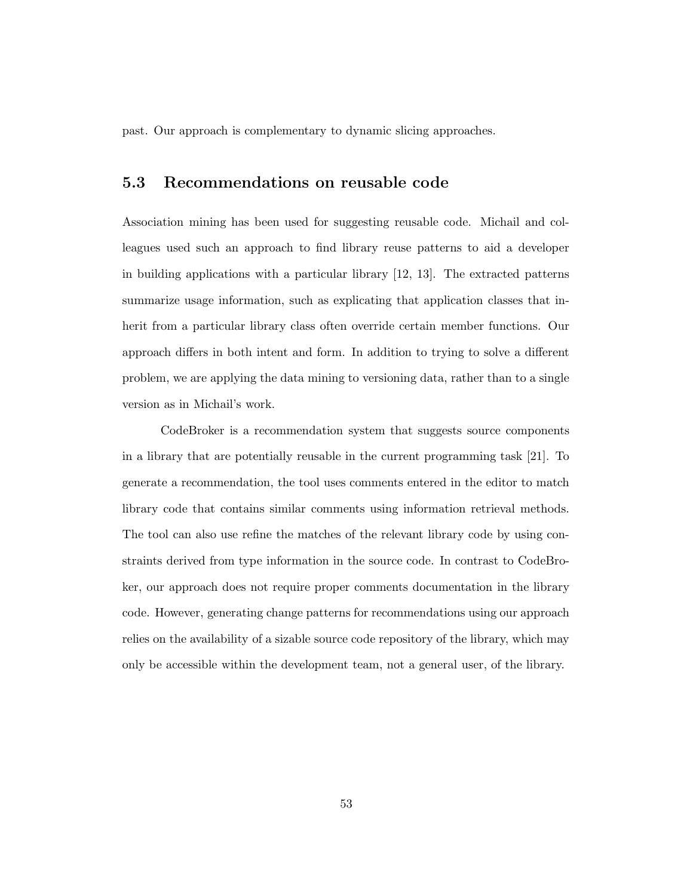past. Our approach is complementary to dynamic slicing approaches.

#### 5.3 Recommendations on reusable code

Association mining has been used for suggesting reusable code. Michail and colleagues used such an approach to find library reuse patterns to aid a developer in building applications with a particular library [12, 13]. The extracted patterns summarize usage information, such as explicating that application classes that inherit from a particular library class often override certain member functions. Our approach differs in both intent and form. In addition to trying to solve a different problem, we are applying the data mining to versioning data, rather than to a single version as in Michail's work.

CodeBroker is a recommendation system that suggests source components in a library that are potentially reusable in the current programming task [21]. To generate a recommendation, the tool uses comments entered in the editor to match library code that contains similar comments using information retrieval methods. The tool can also use refine the matches of the relevant library code by using constraints derived from type information in the source code. In contrast to CodeBroker, our approach does not require proper comments documentation in the library code. However, generating change patterns for recommendations using our approach relies on the availability of a sizable source code repository of the library, which may only be accessible within the development team, not a general user, of the library.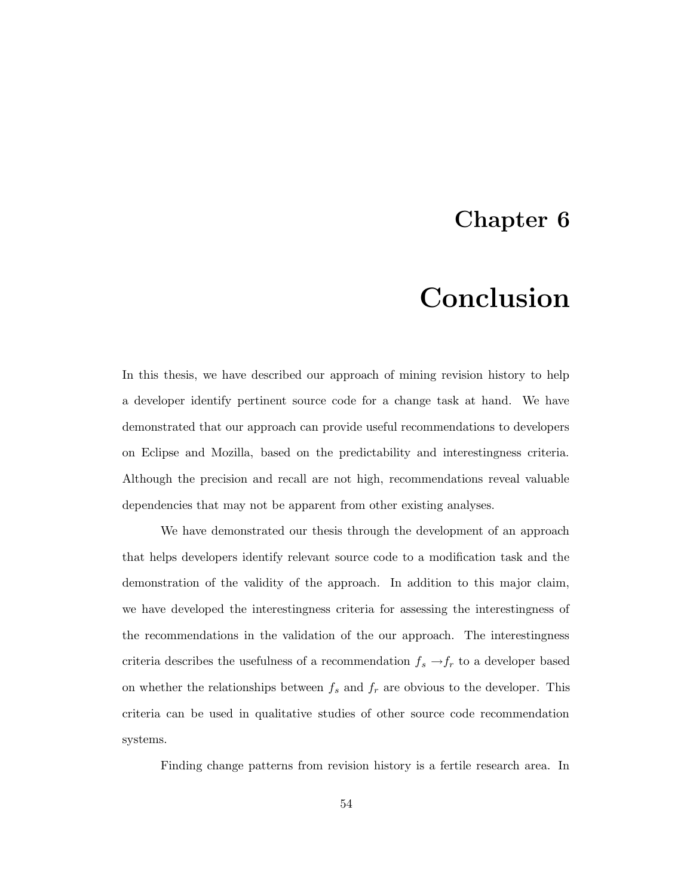### Chapter 6

# Conclusion

In this thesis, we have described our approach of mining revision history to help a developer identify pertinent source code for a change task at hand. We have demonstrated that our approach can provide useful recommendations to developers on Eclipse and Mozilla, based on the predictability and interestingness criteria. Although the precision and recall are not high, recommendations reveal valuable dependencies that may not be apparent from other existing analyses.

We have demonstrated our thesis through the development of an approach that helps developers identify relevant source code to a modification task and the demonstration of the validity of the approach. In addition to this major claim, we have developed the interestingness criteria for assessing the interestingness of the recommendations in the validation of the our approach. The interestingness criteria describes the usefulness of a recommendation  $f_s \rightarrow f_r$  to a developer based on whether the relationships between  $f_s$  and  $f_r$  are obvious to the developer. This criteria can be used in qualitative studies of other source code recommendation systems.

Finding change patterns from revision history is a fertile research area. In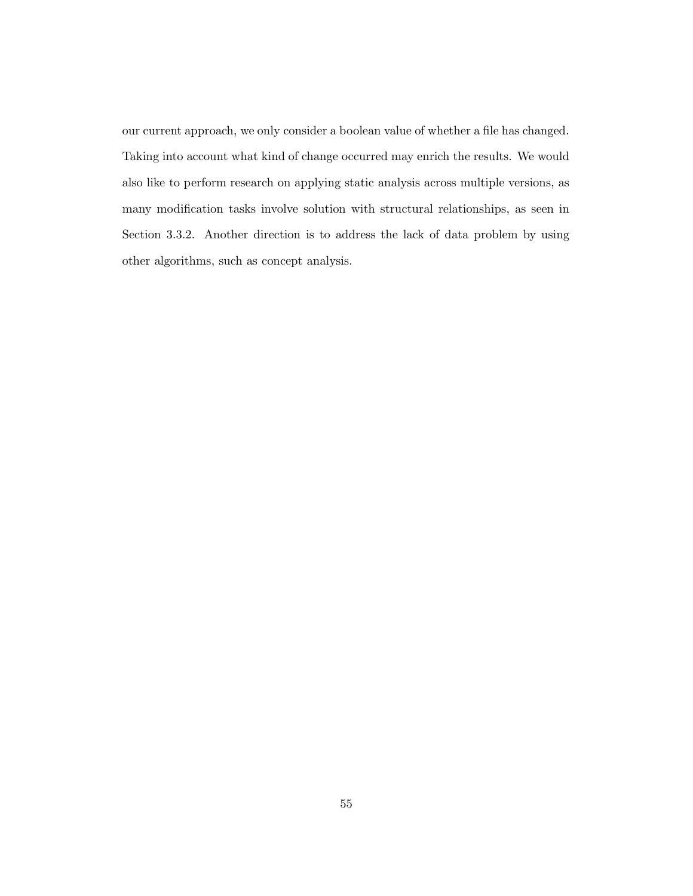our current approach, we only consider a boolean value of whether a file has changed. Taking into account what kind of change occurred may enrich the results. We would also like to perform research on applying static analysis across multiple versions, as many modification tasks involve solution with structural relationships, as seen in Section 3.3.2. Another direction is to address the lack of data problem by using other algorithms, such as concept analysis.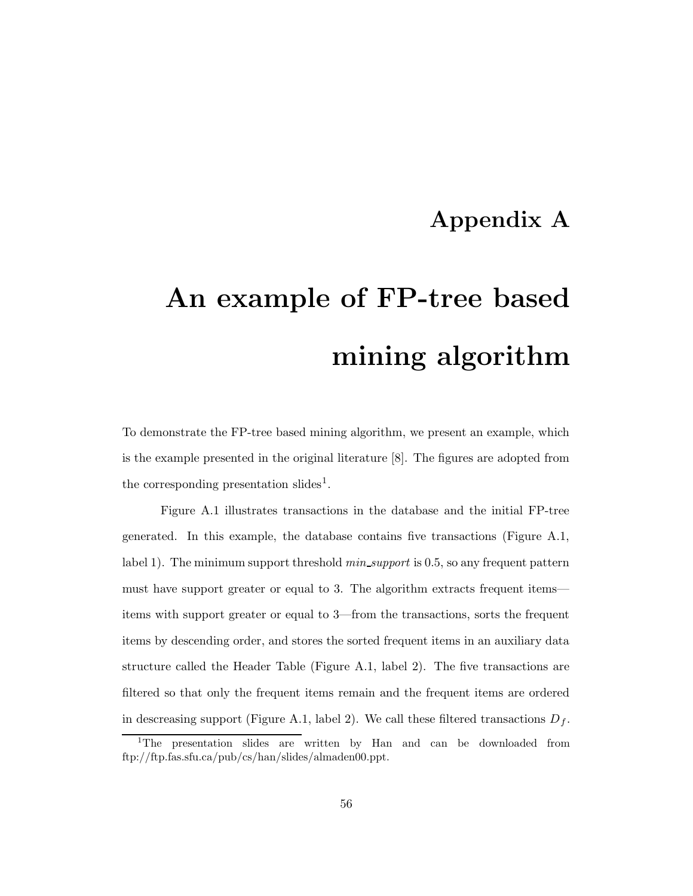### Appendix A

# An example of FP-tree based mining algorithm

To demonstrate the FP-tree based mining algorithm, we present an example, which is the example presented in the original literature [8]. The figures are adopted from the corresponding presentation slides<sup>1</sup>.

Figure A.1 illustrates transactions in the database and the initial FP-tree generated. In this example, the database contains five transactions (Figure A.1, label 1). The minimum support threshold *min\_support* is 0.5, so any frequent pattern must have support greater or equal to 3. The algorithm extracts frequent items items with support greater or equal to 3—from the transactions, sorts the frequent items by descending order, and stores the sorted frequent items in an auxiliary data structure called the Header Table (Figure A.1, label 2). The five transactions are filtered so that only the frequent items remain and the frequent items are ordered in descreasing support (Figure A.1, label 2). We call these filtered transactions  $D_f$ .

<sup>&</sup>lt;sup>1</sup>The presentation slides are written by Han and can be downloaded from ftp://ftp.fas.sfu.ca/pub/cs/han/slides/almaden00.ppt.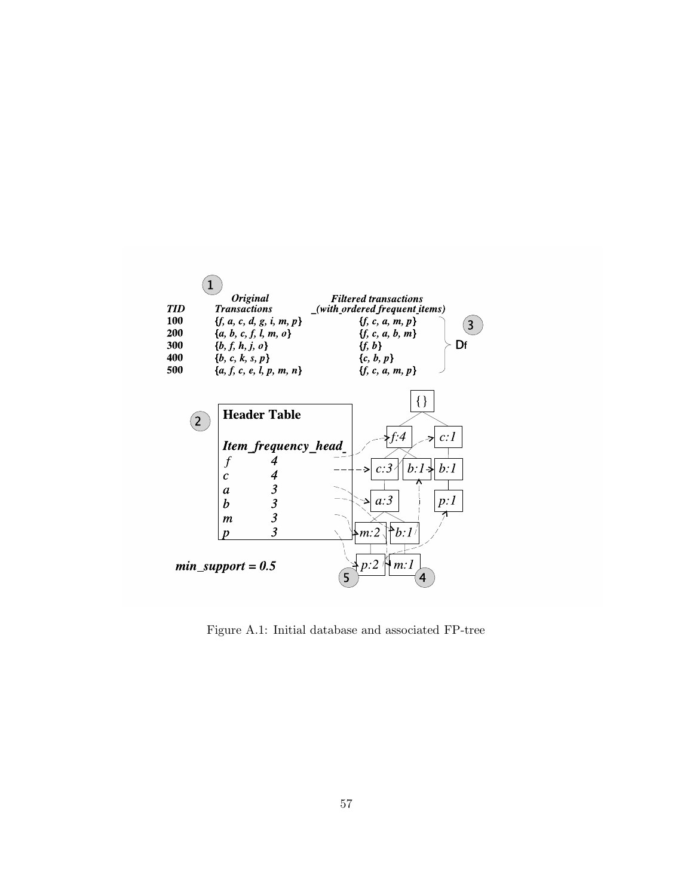

Figure A.1: Initial database and associated FP-tree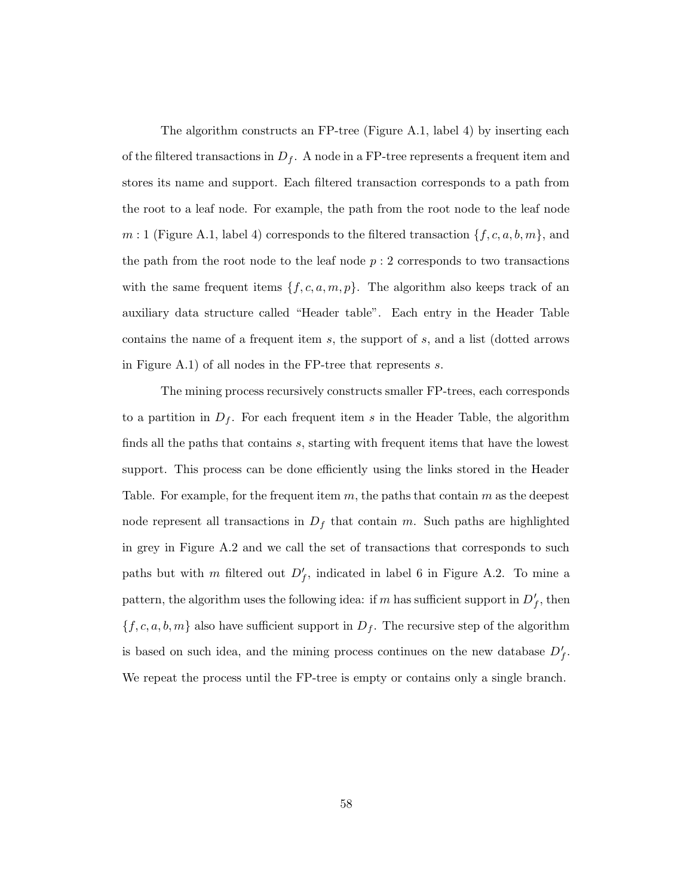The algorithm constructs an FP-tree (Figure A.1, label 4) by inserting each of the filtered transactions in  $D_f$ . A node in a FP-tree represents a frequent item and stores its name and support. Each filtered transaction corresponds to a path from the root to a leaf node. For example, the path from the root node to the leaf node  $m:1$  (Figure A.1, label 4) corresponds to the filtered transaction  $\{f, c, a, b, m\}$ , and the path from the root node to the leaf node  $p:2$  corresponds to two transactions with the same frequent items  $\{f, c, a, m, p\}$ . The algorithm also keeps track of an auxiliary data structure called "Header table". Each entry in the Header Table contains the name of a frequent item s, the support of s, and a list (dotted arrows in Figure A.1) of all nodes in the FP-tree that represents s.

The mining process recursively constructs smaller FP-trees, each corresponds to a partition in  $D_f$ . For each frequent item s in the Header Table, the algorithm finds all the paths that contains s, starting with frequent items that have the lowest support. This process can be done efficiently using the links stored in the Header Table. For example, for the frequent item  $m$ , the paths that contain  $m$  as the deepest node represent all transactions in  $D_f$  that contain m. Such paths are highlighted in grey in Figure A.2 and we call the set of transactions that corresponds to such paths but with m filtered out  $D_f'$ , indicated in label 6 in Figure A.2. To mine a pattern, the algorithm uses the following idea: if m has sufficient support in  $D'_f$ , then  $\{f, c, a, b, m\}$  also have sufficient support in  $D_f$ . The recursive step of the algorithm is based on such idea, and the mining process continues on the new database  $D'_f$ . We repeat the process until the FP-tree is empty or contains only a single branch.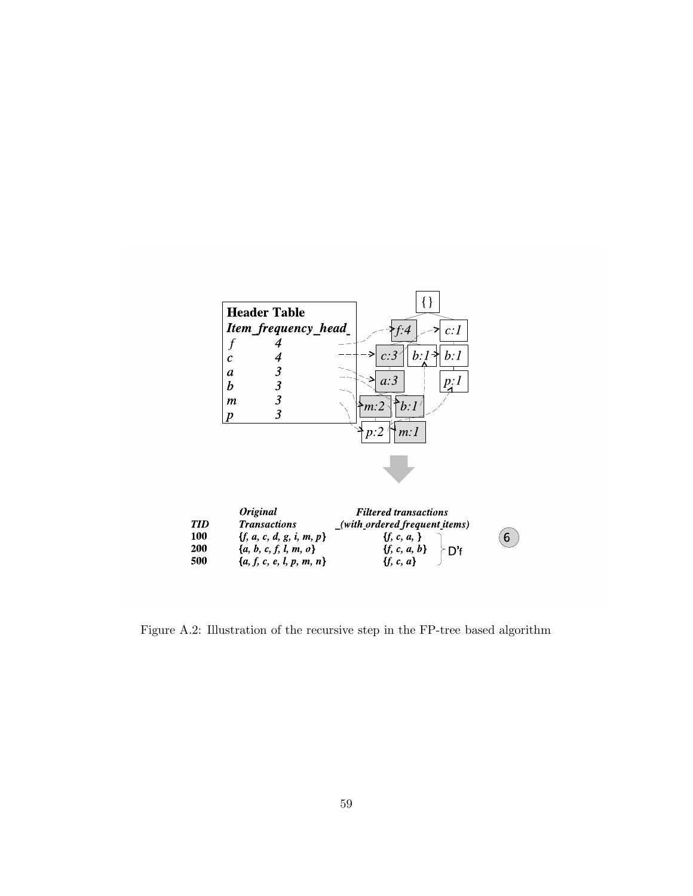

Figure A.2: Illustration of the recursive step in the FP-tree based algorithm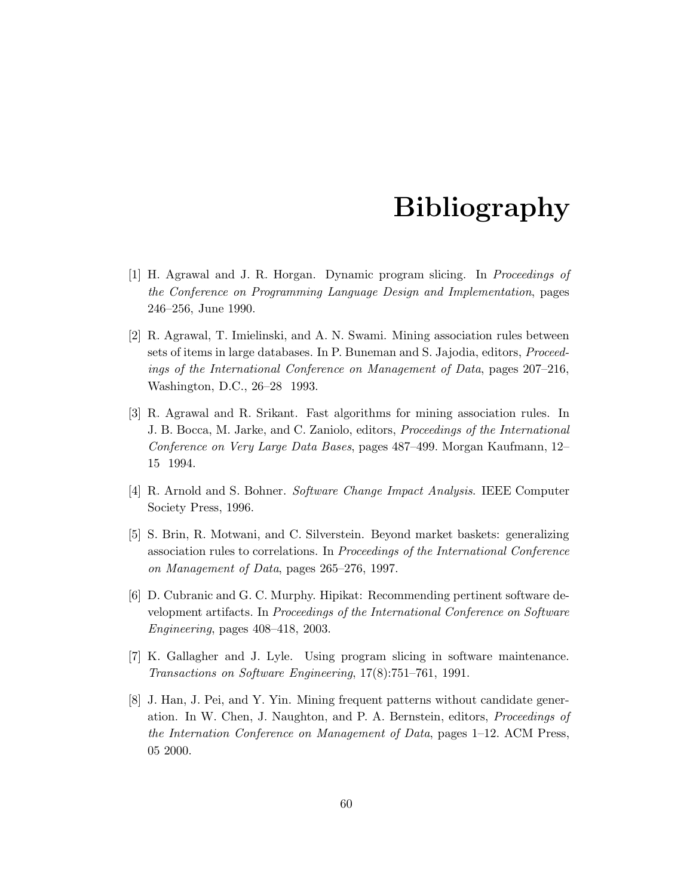# Bibliography

- [1] H. Agrawal and J. R. Horgan. Dynamic program slicing. In Proceedings of the Conference on Programming Language Design and Implementation, pages 246–256, June 1990.
- [2] R. Agrawal, T. Imielinski, and A. N. Swami. Mining association rules between sets of items in large databases. In P. Buneman and S. Jajodia, editors, Proceedings of the International Conference on Management of Data, pages 207–216, Washington, D.C., 26–28 1993.
- [3] R. Agrawal and R. Srikant. Fast algorithms for mining association rules. In J. B. Bocca, M. Jarke, and C. Zaniolo, editors, Proceedings of the International Conference on Very Large Data Bases, pages 487–499. Morgan Kaufmann, 12– 15 1994.
- [4] R. Arnold and S. Bohner. Software Change Impact Analysis. IEEE Computer Society Press, 1996.
- [5] S. Brin, R. Motwani, and C. Silverstein. Beyond market baskets: generalizing association rules to correlations. In Proceedings of the International Conference on Management of Data, pages 265–276, 1997.
- [6] D. Cubranic and G. C. Murphy. Hipikat: Recommending pertinent software development artifacts. In Proceedings of the International Conference on Software Engineering, pages 408–418, 2003.
- [7] K. Gallagher and J. Lyle. Using program slicing in software maintenance. Transactions on Software Engineering, 17(8):751–761, 1991.
- [8] J. Han, J. Pei, and Y. Yin. Mining frequent patterns without candidate generation. In W. Chen, J. Naughton, and P. A. Bernstein, editors, Proceedings of the Internation Conference on Management of Data, pages 1–12. ACM Press, 05 2000.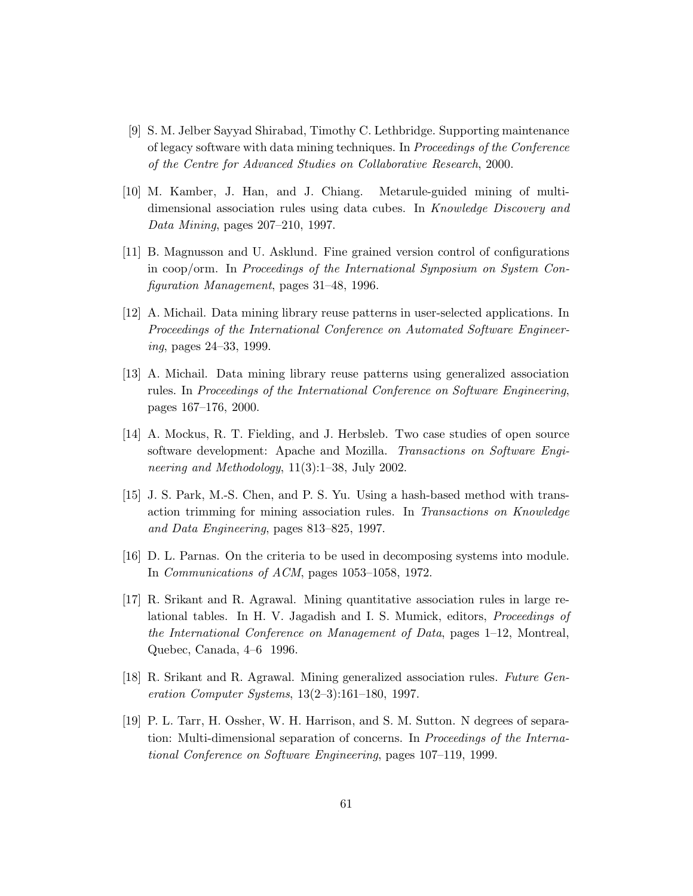- [9] S. M. Jelber Sayyad Shirabad, Timothy C. Lethbridge. Supporting maintenance of legacy software with data mining techniques. In Proceedings of the Conference of the Centre for Advanced Studies on Collaborative Research, 2000.
- [10] M. Kamber, J. Han, and J. Chiang. Metarule-guided mining of multidimensional association rules using data cubes. In Knowledge Discovery and Data Mining, pages 207–210, 1997.
- [11] B. Magnusson and U. Asklund. Fine grained version control of configurations in coop/orm. In Proceedings of the International Synposium on System Configuration Management, pages 31–48, 1996.
- [12] A. Michail. Data mining library reuse patterns in user-selected applications. In Proceedings of the International Conference on Automated Software Engineering, pages 24–33, 1999.
- [13] A. Michail. Data mining library reuse patterns using generalized association rules. In Proceedings of the International Conference on Software Engineering, pages 167–176, 2000.
- [14] A. Mockus, R. T. Fielding, and J. Herbsleb. Two case studies of open source software development: Apache and Mozilla. Transactions on Software Engineering and Methodology, 11(3):1–38, July 2002.
- [15] J. S. Park, M.-S. Chen, and P. S. Yu. Using a hash-based method with transaction trimming for mining association rules. In Transactions on Knowledge and Data Engineering, pages 813–825, 1997.
- [16] D. L. Parnas. On the criteria to be used in decomposing systems into module. In Communications of ACM, pages 1053–1058, 1972.
- [17] R. Srikant and R. Agrawal. Mining quantitative association rules in large relational tables. In H. V. Jagadish and I. S. Mumick, editors, Proceedings of the International Conference on Management of Data, pages 1–12, Montreal, Quebec, Canada, 4–6 1996.
- [18] R. Srikant and R. Agrawal. Mining generalized association rules. Future Generation Computer Systems, 13(2–3):161–180, 1997.
- [19] P. L. Tarr, H. Ossher, W. H. Harrison, and S. M. Sutton. N degrees of separation: Multi-dimensional separation of concerns. In Proceedings of the International Conference on Software Engineering, pages 107–119, 1999.